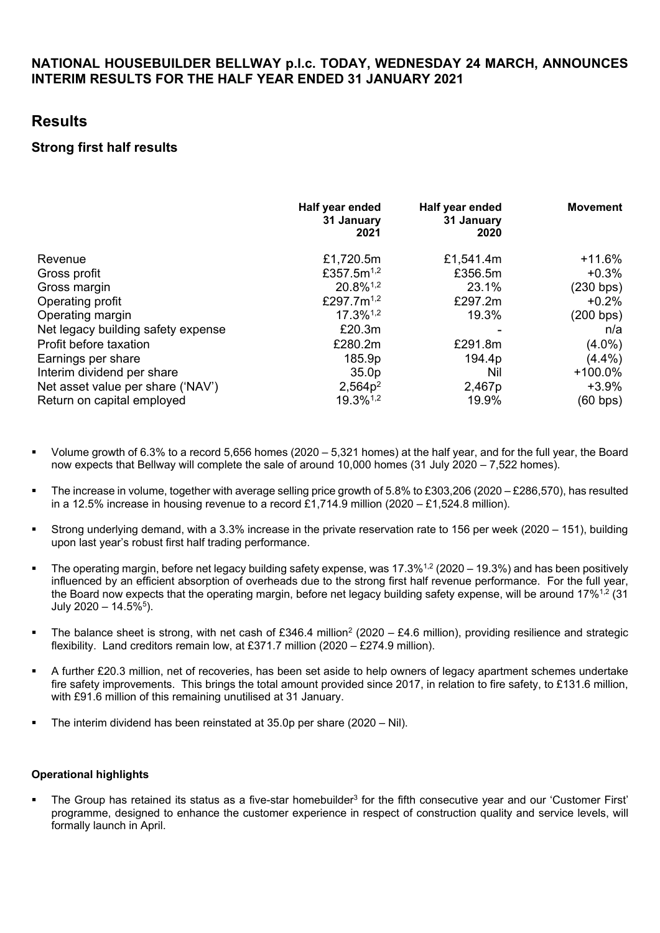# **NATIONAL HOUSEBUILDER BELLWAY p.l.c. TODAY, WEDNESDAY 24 MARCH, ANNOUNCES INTERIM RESULTS FOR THE HALF YEAR ENDED 31 JANUARY 2021**

# **Results**

# **Strong first half results**

|                                    | Half year ended<br>31 January<br>2021 | Half year ended<br>31 January<br>2020 | <b>Movement</b> |
|------------------------------------|---------------------------------------|---------------------------------------|-----------------|
| Revenue                            | £1,720.5m                             | £1,541.4m                             | $+11.6%$        |
| Gross profit                       | £357.5 $m^{1,2}$                      | £356.5m                               | $+0.3%$         |
| Gross margin                       | 20.8%1,2                              | 23.1%                                 | (230 bps)       |
| Operating profit                   | £297.7 $m^{1,2}$                      | £297.2m                               | $+0.2%$         |
| Operating margin                   | 17.3% <sup>1,2</sup>                  | 19.3%                                 | (200 bps)       |
| Net legacy building safety expense | £20.3m                                |                                       | n/a             |
| Profit before taxation             | £280.2m                               | £291.8m                               | $(4.0\%)$       |
| Earnings per share                 | 185.9p                                | 194.4p                                | $(4.4\%)$       |
| Interim dividend per share         | 35.0 <sub>p</sub>                     | Nil                                   | $+100.0\%$      |
| Net asset value per share ('NAV')  | $2,564p^2$                            | 2,467p                                | $+3.9%$         |
| Return on capital employed         | 19.3% <sup>1,2</sup>                  | 19.9%                                 | (60 bps)        |

- Volume growth of 6.3% to a record 5,656 homes (2020 5,321 homes) at the half year, and for the full year, the Board now expects that Bellway will complete the sale of around 10,000 homes (31 July 2020 – 7,522 homes).
- The increase in volume, together with average selling price growth of 5.8% to £303,206 (2020 £286,570), has resulted in a 12.5% increase in housing revenue to a record £1,714.9 million (2020 – £1,524.8 million).
- Strong underlying demand, with a 3.3% increase in the private reservation rate to 156 per week (2020 151), building upon last year's robust first half trading performance.
- The operating margin, before net legacy building safety expense, was 17.3%<sup>1,2</sup> (2020 19.3%) and has been positively influenced by an efficient absorption of overheads due to the strong first half revenue performance. For the full year, the Board now expects that the operating margin, before net legacy building safety expense, will be around  $17\%^{1,2}$  (31) July  $2020 - 14.5\%$ <sup>5</sup>).
- The balance sheet is strong, with net cash of £346.4 million<sup>2</sup> (2020 £4.6 million), providing resilience and strategic flexibility. Land creditors remain low, at £371.7 million (2020 – £274.9 million).
- A further £20.3 million, net of recoveries, has been set aside to help owners of legacy apartment schemes undertake fire safety improvements. This brings the total amount provided since 2017, in relation to fire safety, to £131.6 million, with £91.6 million of this remaining unutilised at 31 January.
- The interim dividend has been reinstated at 35.0p per share (2020 Nil).

## **Operational highlights**

The Group has retained its status as a five-star homebuilder $3$  for the fifth consecutive year and our 'Customer First' programme, designed to enhance the customer experience in respect of construction quality and service levels, will formally launch in April.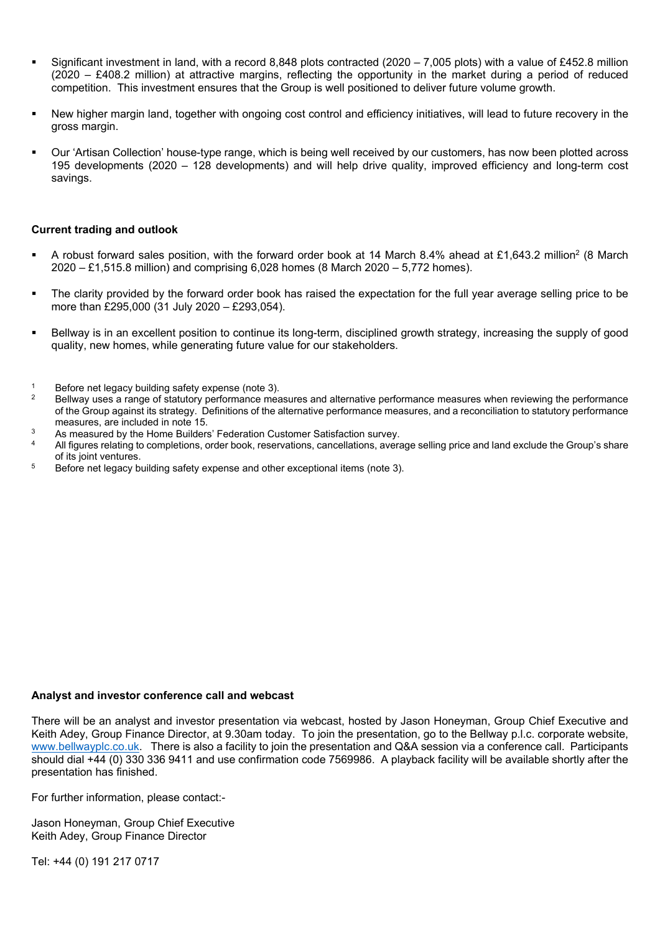- Significant investment in land, with a record 8,848 plots contracted (2020 7,005 plots) with a value of £452.8 million (2020 – £408.2 million) at attractive margins, reflecting the opportunity in the market during a period of reduced competition. This investment ensures that the Group is well positioned to deliver future volume growth.
- New higher margin land, together with ongoing cost control and efficiency initiatives, will lead to future recovery in the gross margin.
- Our 'Artisan Collection' house-type range, which is being well received by our customers, has now been plotted across 195 developments (2020 – 128 developments) and will help drive quality, improved efficiency and long-term cost savings.

#### **Current trading and outlook**

- A robust forward sales position, with the forward order book at 14 March 8.4% ahead at £1,643.2 million<sup>2</sup> (8 March 2020 – £1,515.8 million) and comprising 6,028 homes (8 March 2020 – 5,772 homes).
- The clarity provided by the forward order book has raised the expectation for the full year average selling price to be more than £295,000 (31 July 2020 – £293,054).
- Bellway is in an excellent position to continue its long-term, disciplined growth strategy, increasing the supply of good quality, new homes, while generating future value for our stakeholders.
- <sup>1</sup> Before net legacy building safety expense (note 3).<br><sup>2</sup> Bellucy uses a range of statutory performance mea
- Bellway uses a range of statutory performance measures and alternative performance measures when reviewing the performance of the Group against its strategy. Definitions of the alternative performance measures, and a reconciliation to statutory performance measures, are included in note 15.<br>As measured by the Home Builders' Federation Customer Satisfaction survey.<br>All figures relating to completions, order book, reservations, cancellations, average selling price and land exc
- 
- of its joint ventures. 5 Before net legacy building safety expense and other exceptional items (note 3).
- 

#### **Analyst and investor conference call and webcast**

There will be an analyst and investor presentation via webcast, hosted by Jason Honeyman, Group Chief Executive and Keith Adey, Group Finance Director, at 9.30am today. To join the presentation, go to the Bellway p.l.c. corporate website, www.bellwayplc.co.uk. There is also a facility to join the presentation and Q&A session via a conference call. Participants should dial +44 (0) 330 336 9411 and use confirmation code 7569986. A playback facility will be available shortly after the presentation has finished.

For further information, please contact:-

Jason Honeyman, Group Chief Executive Keith Adey, Group Finance Director

Tel: +44 (0) 191 217 0717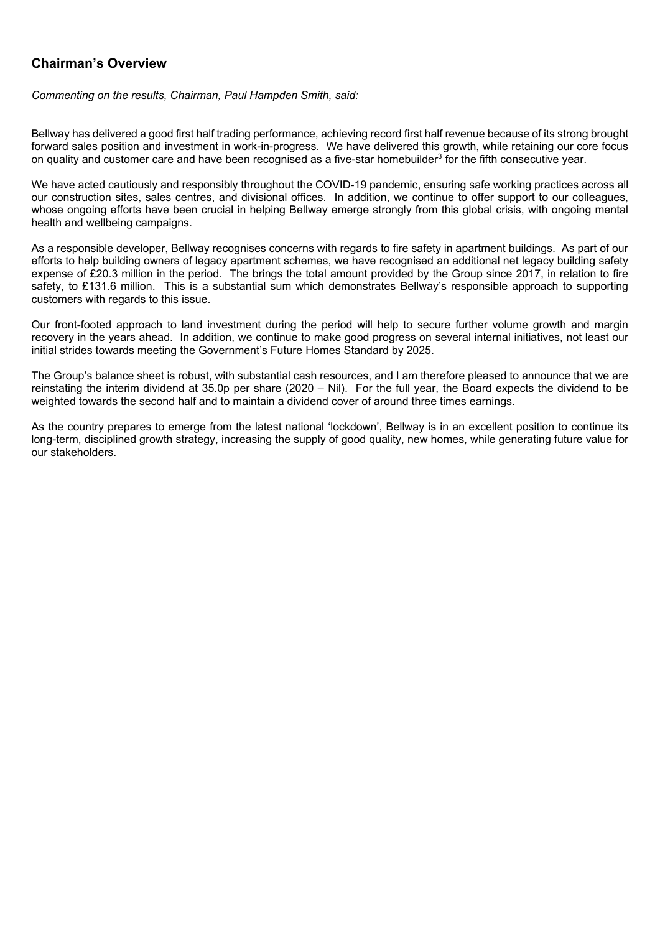# **Chairman's Overview**

*Commenting on the results, Chairman, Paul Hampden Smith, said:* 

Bellway has delivered a good first half trading performance, achieving record first half revenue because of its strong brought forward sales position and investment in work-in-progress. We have delivered this growth, while retaining our core focus on quality and customer care and have been recognised as a five-star homebuilder $3$  for the fifth consecutive year.

We have acted cautiously and responsibly throughout the COVID-19 pandemic, ensuring safe working practices across all our construction sites, sales centres, and divisional offices. In addition, we continue to offer support to our colleagues, whose ongoing efforts have been crucial in helping Bellway emerge strongly from this global crisis, with ongoing mental health and wellbeing campaigns.

As a responsible developer, Bellway recognises concerns with regards to fire safety in apartment buildings. As part of our efforts to help building owners of legacy apartment schemes, we have recognised an additional net legacy building safety expense of £20.3 million in the period. The brings the total amount provided by the Group since 2017, in relation to fire safety, to £131.6 million. This is a substantial sum which demonstrates Bellway's responsible approach to supporting customers with regards to this issue.

Our front-footed approach to land investment during the period will help to secure further volume growth and margin recovery in the years ahead. In addition, we continue to make good progress on several internal initiatives, not least our initial strides towards meeting the Government's Future Homes Standard by 2025.

The Group's balance sheet is robust, with substantial cash resources, and I am therefore pleased to announce that we are reinstating the interim dividend at 35.0p per share (2020 – Nil). For the full year, the Board expects the dividend to be weighted towards the second half and to maintain a dividend cover of around three times earnings.

As the country prepares to emerge from the latest national 'lockdown', Bellway is in an excellent position to continue its long-term, disciplined growth strategy, increasing the supply of good quality, new homes, while generating future value for our stakeholders.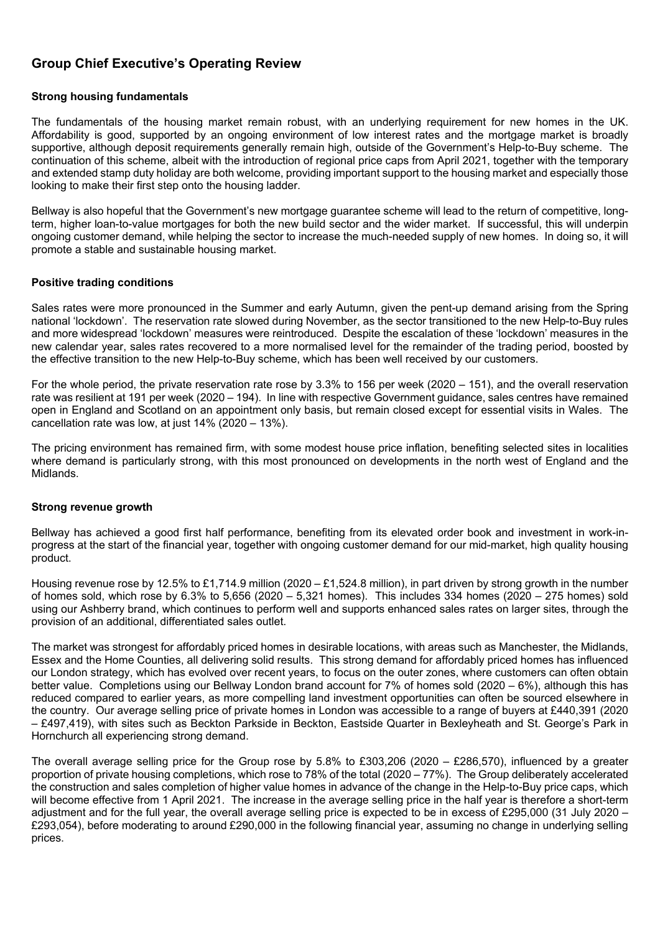# **Group Chief Executive's Operating Review**

## **Strong housing fundamentals**

The fundamentals of the housing market remain robust, with an underlying requirement for new homes in the UK. Affordability is good, supported by an ongoing environment of low interest rates and the mortgage market is broadly supportive, although deposit requirements generally remain high, outside of the Government's Help-to-Buy scheme. The continuation of this scheme, albeit with the introduction of regional price caps from April 2021, together with the temporary and extended stamp duty holiday are both welcome, providing important support to the housing market and especially those looking to make their first step onto the housing ladder.

Bellway is also hopeful that the Government's new mortgage guarantee scheme will lead to the return of competitive, longterm, higher loan-to-value mortgages for both the new build sector and the wider market. If successful, this will underpin ongoing customer demand, while helping the sector to increase the much-needed supply of new homes. In doing so, it will promote a stable and sustainable housing market.

#### **Positive trading conditions**

Sales rates were more pronounced in the Summer and early Autumn, given the pent-up demand arising from the Spring national 'lockdown'. The reservation rate slowed during November, as the sector transitioned to the new Help-to-Buy rules and more widespread 'lockdown' measures were reintroduced. Despite the escalation of these 'lockdown' measures in the new calendar year, sales rates recovered to a more normalised level for the remainder of the trading period, boosted by the effective transition to the new Help-to-Buy scheme, which has been well received by our customers.

For the whole period, the private reservation rate rose by 3.3% to 156 per week (2020 – 151), and the overall reservation rate was resilient at 191 per week (2020 – 194). In line with respective Government guidance, sales centres have remained open in England and Scotland on an appointment only basis, but remain closed except for essential visits in Wales. The cancellation rate was low, at just 14% (2020 – 13%).

The pricing environment has remained firm, with some modest house price inflation, benefiting selected sites in localities where demand is particularly strong, with this most pronounced on developments in the north west of England and the Midlands.

#### **Strong revenue growth**

Bellway has achieved a good first half performance, benefiting from its elevated order book and investment in work-inprogress at the start of the financial year, together with ongoing customer demand for our mid-market, high quality housing product.

Housing revenue rose by 12.5% to £1,714.9 million (2020 – £1,524.8 million), in part driven by strong growth in the number of homes sold, which rose by 6.3% to 5,656 (2020 – 5,321 homes). This includes 334 homes (2020 – 275 homes) sold using our Ashberry brand, which continues to perform well and supports enhanced sales rates on larger sites, through the provision of an additional, differentiated sales outlet.

The market was strongest for affordably priced homes in desirable locations, with areas such as Manchester, the Midlands, Essex and the Home Counties, all delivering solid results. This strong demand for affordably priced homes has influenced our London strategy, which has evolved over recent years, to focus on the outer zones, where customers can often obtain better value. Completions using our Bellway London brand account for 7% of homes sold (2020 – 6%), although this has reduced compared to earlier years, as more compelling land investment opportunities can often be sourced elsewhere in the country. Our average selling price of private homes in London was accessible to a range of buyers at £440,391 (2020 – £497,419), with sites such as Beckton Parkside in Beckton, Eastside Quarter in Bexleyheath and St. George's Park in Hornchurch all experiencing strong demand.

The overall average selling price for the Group rose by 5.8% to £303,206 (2020 – £286,570), influenced by a greater proportion of private housing completions, which rose to 78% of the total (2020 – 77%). The Group deliberately accelerated the construction and sales completion of higher value homes in advance of the change in the Help-to-Buy price caps, which will become effective from 1 April 2021. The increase in the average selling price in the half year is therefore a short-term adjustment and for the full year, the overall average selling price is expected to be in excess of £295,000 (31 July 2020 – £293,054), before moderating to around £290,000 in the following financial year, assuming no change in underlying selling prices.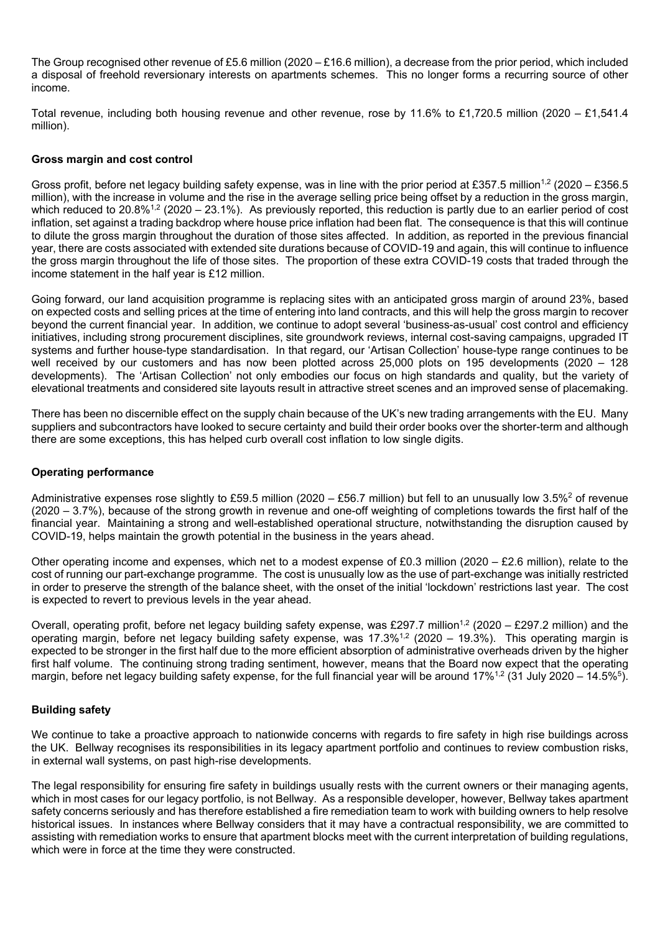The Group recognised other revenue of £5.6 million (2020 – £16.6 million), a decrease from the prior period, which included a disposal of freehold reversionary interests on apartments schemes. This no longer forms a recurring source of other income.

Total revenue, including both housing revenue and other revenue, rose by 11.6% to £1,720.5 million (2020 – £1,541.4 million).

## **Gross margin and cost control**

Gross profit, before net legacy building safety expense, was in line with the prior period at £357.5 million<sup>1,2</sup> (2020 – £356.5) million), with the increase in volume and the rise in the average selling price being offset by a reduction in the gross margin, which reduced to  $20.8\%$ <sup>1,2</sup> (2020 – 23.1%). As previously reported, this reduction is partly due to an earlier period of cost inflation, set against a trading backdrop where house price inflation had been flat. The consequence is that this will continue to dilute the gross margin throughout the duration of those sites affected. In addition, as reported in the previous financial year, there are costs associated with extended site durations because of COVID-19 and again, this will continue to influence the gross margin throughout the life of those sites. The proportion of these extra COVID-19 costs that traded through the income statement in the half year is £12 million.

Going forward, our land acquisition programme is replacing sites with an anticipated gross margin of around 23%, based on expected costs and selling prices at the time of entering into land contracts, and this will help the gross margin to recover beyond the current financial year. In addition, we continue to adopt several 'business-as-usual' cost control and efficiency initiatives, including strong procurement disciplines, site groundwork reviews, internal cost-saving campaigns, upgraded IT systems and further house-type standardisation. In that regard, our 'Artisan Collection' house-type range continues to be well received by our customers and has now been plotted across 25,000 plots on 195 developments (2020 – 128 developments). The 'Artisan Collection' not only embodies our focus on high standards and quality, but the variety of elevational treatments and considered site layouts result in attractive street scenes and an improved sense of placemaking.

There has been no discernible effect on the supply chain because of the UK's new trading arrangements with the EU. Many suppliers and subcontractors have looked to secure certainty and build their order books over the shorter-term and although there are some exceptions, this has helped curb overall cost inflation to low single digits.

## **Operating performance**

Administrative expenses rose slightly to £59.5 million (2020 – £56.7 million) but fell to an unusually low 3.5%<sup>2</sup> of revenue (2020 – 3.7%), because of the strong growth in revenue and one-off weighting of completions towards the first half of the financial year. Maintaining a strong and well-established operational structure, notwithstanding the disruption caused by COVID-19, helps maintain the growth potential in the business in the years ahead.

Other operating income and expenses, which net to a modest expense of £0.3 million (2020 – £2.6 million), relate to the cost of running our part-exchange programme. The cost is unusually low as the use of part-exchange was initially restricted in order to preserve the strength of the balance sheet, with the onset of the initial 'lockdown' restrictions last year. The cost is expected to revert to previous levels in the year ahead.

Overall, operating profit, before net legacy building safety expense, was £297.7 million<sup>1,2</sup> (2020 – £297.2 million) and the operating margin, before net legacy building safety expense, was  $17.3\%$ <sup>1,2</sup> (2020 – 19.3%). This operating margin is expected to be stronger in the first half due to the more efficient absorption of administrative overheads driven by the higher first half volume. The continuing strong trading sentiment, however, means that the Board now expect that the operating margin, before net legacy building safety expense, for the full financial year will be around 17%<sup>1,2</sup> (31 July 2020 – 14.5%<sup>5</sup>).

## **Building safety**

We continue to take a proactive approach to nationwide concerns with regards to fire safety in high rise buildings across the UK. Bellway recognises its responsibilities in its legacy apartment portfolio and continues to review combustion risks, in external wall systems, on past high-rise developments.

The legal responsibility for ensuring fire safety in buildings usually rests with the current owners or their managing agents, which in most cases for our legacy portfolio, is not Bellway. As a responsible developer, however, Bellway takes apartment safety concerns seriously and has therefore established a fire remediation team to work with building owners to help resolve historical issues. In instances where Bellway considers that it may have a contractual responsibility, we are committed to assisting with remediation works to ensure that apartment blocks meet with the current interpretation of building regulations, which were in force at the time they were constructed.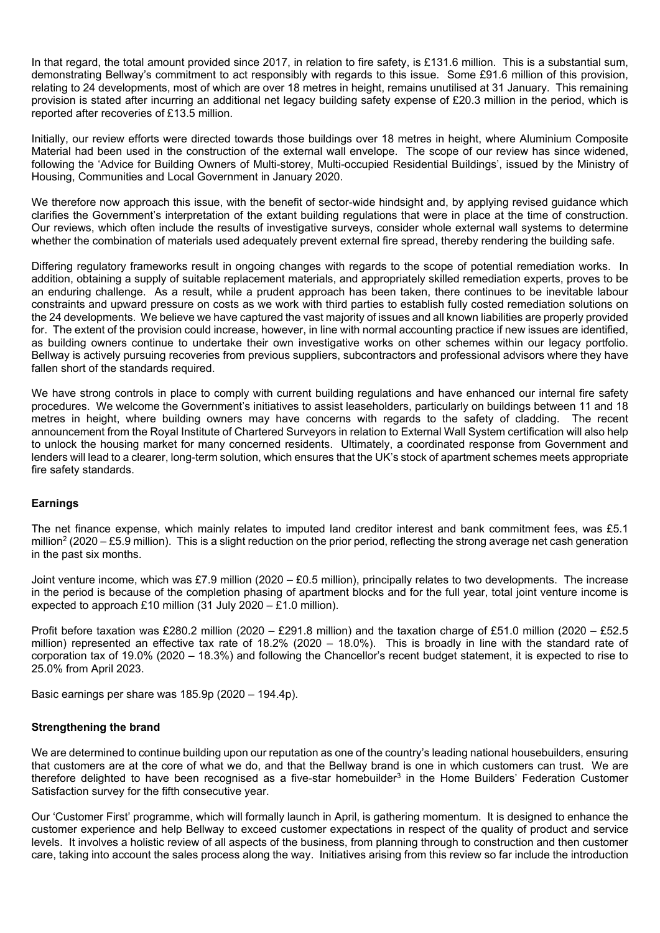In that regard, the total amount provided since 2017, in relation to fire safety, is £131.6 million. This is a substantial sum, demonstrating Bellway's commitment to act responsibly with regards to this issue. Some £91.6 million of this provision, relating to 24 developments, most of which are over 18 metres in height, remains unutilised at 31 January. This remaining provision is stated after incurring an additional net legacy building safety expense of £20.3 million in the period, which is reported after recoveries of £13.5 million.

Initially, our review efforts were directed towards those buildings over 18 metres in height, where Aluminium Composite Material had been used in the construction of the external wall envelope. The scope of our review has since widened, following the 'Advice for Building Owners of Multi-storey, Multi-occupied Residential Buildings', issued by the Ministry of Housing, Communities and Local Government in January 2020.

We therefore now approach this issue, with the benefit of sector-wide hindsight and, by applying revised guidance which clarifies the Government's interpretation of the extant building regulations that were in place at the time of construction. Our reviews, which often include the results of investigative surveys, consider whole external wall systems to determine whether the combination of materials used adequately prevent external fire spread, thereby rendering the building safe.

Differing regulatory frameworks result in ongoing changes with regards to the scope of potential remediation works. In addition, obtaining a supply of suitable replacement materials, and appropriately skilled remediation experts, proves to be an enduring challenge. As a result, while a prudent approach has been taken, there continues to be inevitable labour constraints and upward pressure on costs as we work with third parties to establish fully costed remediation solutions on the 24 developments. We believe we have captured the vast majority of issues and all known liabilities are properly provided for. The extent of the provision could increase, however, in line with normal accounting practice if new issues are identified, as building owners continue to undertake their own investigative works on other schemes within our legacy portfolio. Bellway is actively pursuing recoveries from previous suppliers, subcontractors and professional advisors where they have fallen short of the standards required.

We have strong controls in place to comply with current building regulations and have enhanced our internal fire safety procedures. We welcome the Government's initiatives to assist leaseholders, particularly on buildings between 11 and 18 metres in height, where building owners may have concerns with regards to the safety of cladding. The recent announcement from the Royal Institute of Chartered Surveyors in relation to External Wall System certification will also help to unlock the housing market for many concerned residents. Ultimately, a coordinated response from Government and lenders will lead to a clearer, long-term solution, which ensures that the UK's stock of apartment schemes meets appropriate fire safety standards.

#### **Earnings**

The net finance expense, which mainly relates to imputed land creditor interest and bank commitment fees, was £5.1 million<sup>2</sup> (2020 – £5.9 million). This is a slight reduction on the prior period, reflecting the strong average net cash generation in the past six months.

Joint venture income, which was £7.9 million (2020 – £0.5 million), principally relates to two developments. The increase in the period is because of the completion phasing of apartment blocks and for the full year, total joint venture income is expected to approach £10 million (31 July 2020 – £1.0 million).

Profit before taxation was £280.2 million (2020 – £291.8 million) and the taxation charge of £51.0 million (2020 – £52.5 million) represented an effective tax rate of 18.2% (2020 – 18.0%). This is broadly in line with the standard rate of corporation tax of 19.0% (2020 – 18.3%) and following the Chancellor's recent budget statement, it is expected to rise to 25.0% from April 2023.

Basic earnings per share was 185.9p (2020 – 194.4p).

#### **Strengthening the brand**

We are determined to continue building upon our reputation as one of the country's leading national housebuilders, ensuring that customers are at the core of what we do, and that the Bellway brand is one in which customers can trust. We are therefore delighted to have been recognised as a five-star homebuilder<sup>3</sup> in the Home Builders' Federation Customer Satisfaction survey for the fifth consecutive year.

Our 'Customer First' programme, which will formally launch in April, is gathering momentum. It is designed to enhance the customer experience and help Bellway to exceed customer expectations in respect of the quality of product and service levels. It involves a holistic review of all aspects of the business, from planning through to construction and then customer care, taking into account the sales process along the way. Initiatives arising from this review so far include the introduction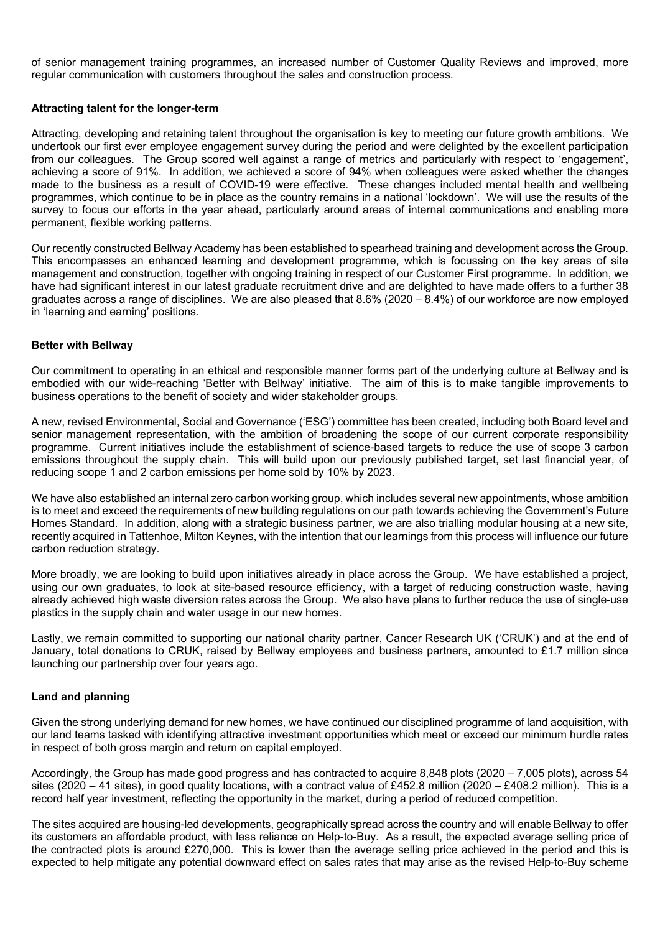of senior management training programmes, an increased number of Customer Quality Reviews and improved, more regular communication with customers throughout the sales and construction process.

#### **Attracting talent for the longer-term**

Attracting, developing and retaining talent throughout the organisation is key to meeting our future growth ambitions. We undertook our first ever employee engagement survey during the period and were delighted by the excellent participation from our colleagues. The Group scored well against a range of metrics and particularly with respect to 'engagement', achieving a score of 91%. In addition, we achieved a score of 94% when colleagues were asked whether the changes made to the business as a result of COVID-19 were effective. These changes included mental health and wellbeing programmes, which continue to be in place as the country remains in a national 'lockdown'. We will use the results of the survey to focus our efforts in the year ahead, particularly around areas of internal communications and enabling more permanent, flexible working patterns.

Our recently constructed Bellway Academy has been established to spearhead training and development across the Group. This encompasses an enhanced learning and development programme, which is focussing on the key areas of site management and construction, together with ongoing training in respect of our Customer First programme. In addition, we have had significant interest in our latest graduate recruitment drive and are delighted to have made offers to a further 38 graduates across a range of disciplines. We are also pleased that  $8.6\%$  (2020 –  $8.4\%$ ) of our workforce are now employed in 'learning and earning' positions.

#### **Better with Bellway**

Our commitment to operating in an ethical and responsible manner forms part of the underlying culture at Bellway and is embodied with our wide-reaching 'Better with Bellway' initiative. The aim of this is to make tangible improvements to business operations to the benefit of society and wider stakeholder groups.

A new, revised Environmental, Social and Governance ('ESG') committee has been created, including both Board level and senior management representation, with the ambition of broadening the scope of our current corporate responsibility programme. Current initiatives include the establishment of science-based targets to reduce the use of scope 3 carbon emissions throughout the supply chain. This will build upon our previously published target, set last financial year, of reducing scope 1 and 2 carbon emissions per home sold by 10% by 2023.

We have also established an internal zero carbon working group, which includes several new appointments, whose ambition is to meet and exceed the requirements of new building regulations on our path towards achieving the Government's Future Homes Standard. In addition, along with a strategic business partner, we are also trialling modular housing at a new site, recently acquired in Tattenhoe, Milton Keynes, with the intention that our learnings from this process will influence our future carbon reduction strategy.

More broadly, we are looking to build upon initiatives already in place across the Group. We have established a project, using our own graduates, to look at site-based resource efficiency, with a target of reducing construction waste, having already achieved high waste diversion rates across the Group. We also have plans to further reduce the use of single-use plastics in the supply chain and water usage in our new homes.

Lastly, we remain committed to supporting our national charity partner, Cancer Research UK ('CRUK') and at the end of January, total donations to CRUK, raised by Bellway employees and business partners, amounted to £1.7 million since launching our partnership over four years ago.

#### **Land and planning**

Given the strong underlying demand for new homes, we have continued our disciplined programme of land acquisition, with our land teams tasked with identifying attractive investment opportunities which meet or exceed our minimum hurdle rates in respect of both gross margin and return on capital employed.

Accordingly, the Group has made good progress and has contracted to acquire 8,848 plots (2020 – 7,005 plots), across 54 sites (2020 – 41 sites), in good quality locations, with a contract value of £452.8 million (2020 – £408.2 million). This is a record half year investment, reflecting the opportunity in the market, during a period of reduced competition.

The sites acquired are housing-led developments, geographically spread across the country and will enable Bellway to offer its customers an affordable product, with less reliance on Help-to-Buy. As a result, the expected average selling price of the contracted plots is around £270,000. This is lower than the average selling price achieved in the period and this is expected to help mitigate any potential downward effect on sales rates that may arise as the revised Help-to-Buy scheme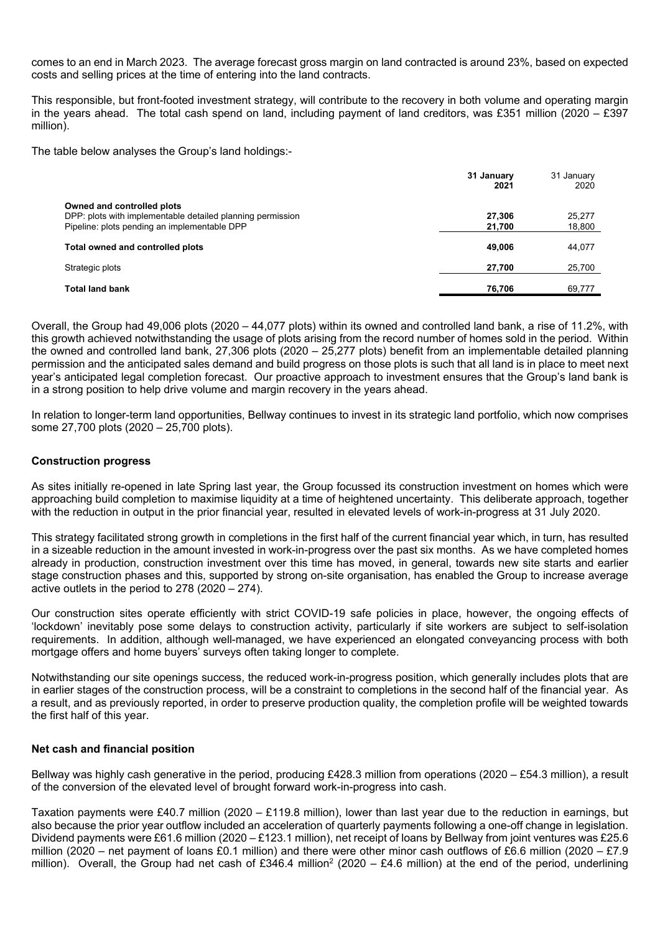comes to an end in March 2023. The average forecast gross margin on land contracted is around 23%, based on expected costs and selling prices at the time of entering into the land contracts.

This responsible, but front-footed investment strategy, will contribute to the recovery in both volume and operating margin in the years ahead. The total cash spend on land, including payment of land creditors, was £351 million (2020 – £397 million).

The table below analyses the Group's land holdings:-

|                                                                                                                                          | 31 January<br>2021 | 31 January<br>2020 |
|------------------------------------------------------------------------------------------------------------------------------------------|--------------------|--------------------|
| Owned and controlled plots<br>DPP: plots with implementable detailed planning permission<br>Pipeline: plots pending an implementable DPP | 27,306<br>21,700   | 25,277<br>18,800   |
| Total owned and controlled plots                                                                                                         | 49.006             | 44,077             |
| Strategic plots                                                                                                                          | 27,700             | 25,700             |
| <b>Total land bank</b>                                                                                                                   | 76,706             | 69,777             |

Overall, the Group had 49,006 plots (2020 – 44,077 plots) within its owned and controlled land bank, a rise of 11.2%, with this growth achieved notwithstanding the usage of plots arising from the record number of homes sold in the period. Within the owned and controlled land bank, 27,306 plots (2020 – 25,277 plots) benefit from an implementable detailed planning permission and the anticipated sales demand and build progress on those plots is such that all land is in place to meet next year's anticipated legal completion forecast. Our proactive approach to investment ensures that the Group's land bank is in a strong position to help drive volume and margin recovery in the years ahead.

In relation to longer-term land opportunities, Bellway continues to invest in its strategic land portfolio, which now comprises some 27,700 plots (2020 – 25,700 plots).

### **Construction progress**

As sites initially re-opened in late Spring last year, the Group focussed its construction investment on homes which were approaching build completion to maximise liquidity at a time of heightened uncertainty. This deliberate approach, together with the reduction in output in the prior financial year, resulted in elevated levels of work-in-progress at 31 July 2020.

This strategy facilitated strong growth in completions in the first half of the current financial year which, in turn, has resulted in a sizeable reduction in the amount invested in work-in-progress over the past six months. As we have completed homes already in production, construction investment over this time has moved, in general, towards new site starts and earlier stage construction phases and this, supported by strong on-site organisation, has enabled the Group to increase average active outlets in the period to 278 (2020 – 274).

Our construction sites operate efficiently with strict COVID-19 safe policies in place, however, the ongoing effects of 'lockdown' inevitably pose some delays to construction activity, particularly if site workers are subject to self-isolation requirements. In addition, although well-managed, we have experienced an elongated conveyancing process with both mortgage offers and home buyers' surveys often taking longer to complete.

Notwithstanding our site openings success, the reduced work-in-progress position, which generally includes plots that are in earlier stages of the construction process, will be a constraint to completions in the second half of the financial year. As a result, and as previously reported, in order to preserve production quality, the completion profile will be weighted towards the first half of this year.

#### **Net cash and financial position**

Bellway was highly cash generative in the period, producing £428.3 million from operations (2020 – £54.3 million), a result of the conversion of the elevated level of brought forward work-in-progress into cash.

Taxation payments were £40.7 million (2020 – £119.8 million), lower than last year due to the reduction in earnings, but also because the prior year outflow included an acceleration of quarterly payments following a one-off change in legislation. Dividend payments were £61.6 million (2020 – £123.1 million), net receipt of loans by Bellway from joint ventures was £25.6 million (2020 – net payment of loans £0.1 million) and there were other minor cash outflows of £6.6 million (2020 – £7.9 million). Overall, the Group had net cash of £346.4 million<sup>2</sup> (2020 – £4.6 million) at the end of the period, underlining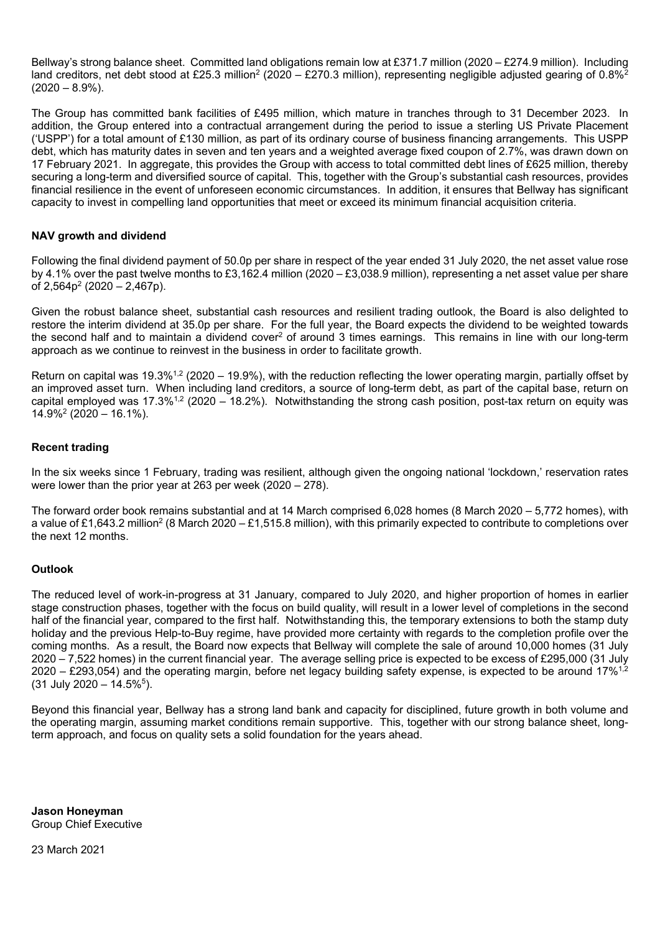Bellway's strong balance sheet. Committed land obligations remain low at £371.7 million (2020 – £274.9 million). Including land creditors, net debt stood at £25.3 million<sup>2</sup> (2020 – £270.3 million), representing negligible adjusted gearing of 0.8%<sup>2</sup>  $(2020 - 8.9\%)$ .

The Group has committed bank facilities of £495 million, which mature in tranches through to 31 December 2023. In addition, the Group entered into a contractual arrangement during the period to issue a sterling US Private Placement ('USPP') for a total amount of £130 million, as part of its ordinary course of business financing arrangements. This USPP debt, which has maturity dates in seven and ten years and a weighted average fixed coupon of 2.7%, was drawn down on 17 February 2021. In aggregate, this provides the Group with access to total committed debt lines of £625 million, thereby securing a long-term and diversified source of capital. This, together with the Group's substantial cash resources, provides financial resilience in the event of unforeseen economic circumstances. In addition, it ensures that Bellway has significant capacity to invest in compelling land opportunities that meet or exceed its minimum financial acquisition criteria.

### **NAV growth and dividend**

Following the final dividend payment of 50.0p per share in respect of the year ended 31 July 2020, the net asset value rose by 4.1% over the past twelve months to £3,162.4 million (2020 – £3,038.9 million), representing a net asset value per share of  $2.564p^2(2020 - 2.467p)$ .

Given the robust balance sheet, substantial cash resources and resilient trading outlook, the Board is also delighted to restore the interim dividend at 35.0p per share. For the full year, the Board expects the dividend to be weighted towards the second half and to maintain a dividend cover<sup>2</sup> of around 3 times earnings. This remains in line with our long-term approach as we continue to reinvest in the business in order to facilitate growth.

Return on capital was  $19.3\%/12}$  (2020 – 19.9%), with the reduction reflecting the lower operating margin, partially offset by an improved asset turn. When including land creditors, a source of long-term debt, as part of the capital base, return on capital employed was  $17.3\%/12}$  (2020 – 18.2%). Notwithstanding the strong cash position, post-tax return on equity was  $14.9\%$ <sup>2</sup> (2020 – 16.1%).

### **Recent trading**

In the six weeks since 1 February, trading was resilient, although given the ongoing national 'lockdown,' reservation rates were lower than the prior year at 263 per week (2020 – 278).

The forward order book remains substantial and at 14 March comprised 6,028 homes (8 March 2020 – 5,772 homes), with a value of £1,643.2 million<sup>2</sup> (8 March 2020 – £1,515.8 million), with this primarily expected to contribute to completions over the next 12 months.

#### **Outlook**

The reduced level of work-in-progress at 31 January, compared to July 2020, and higher proportion of homes in earlier stage construction phases, together with the focus on build quality, will result in a lower level of completions in the second half of the financial year, compared to the first half. Notwithstanding this, the temporary extensions to both the stamp duty holiday and the previous Help-to-Buy regime, have provided more certainty with regards to the completion profile over the coming months. As a result, the Board now expects that Bellway will complete the sale of around 10,000 homes (31 July 2020 – 7,522 homes) in the current financial year. The average selling price is expected to be excess of £295,000 (31 July  $2020 - \text{\textsterling}293,054$  and the operating margin, before net legacy building safety expense, is expected to be around 17%<sup>1,2</sup>  $(31$  July 2020 - 14.5%<sup>5</sup>).

Beyond this financial year, Bellway has a strong land bank and capacity for disciplined, future growth in both volume and the operating margin, assuming market conditions remain supportive. This, together with our strong balance sheet, longterm approach, and focus on quality sets a solid foundation for the years ahead.

**Jason Honeyman**  Group Chief Executive

23 March 2021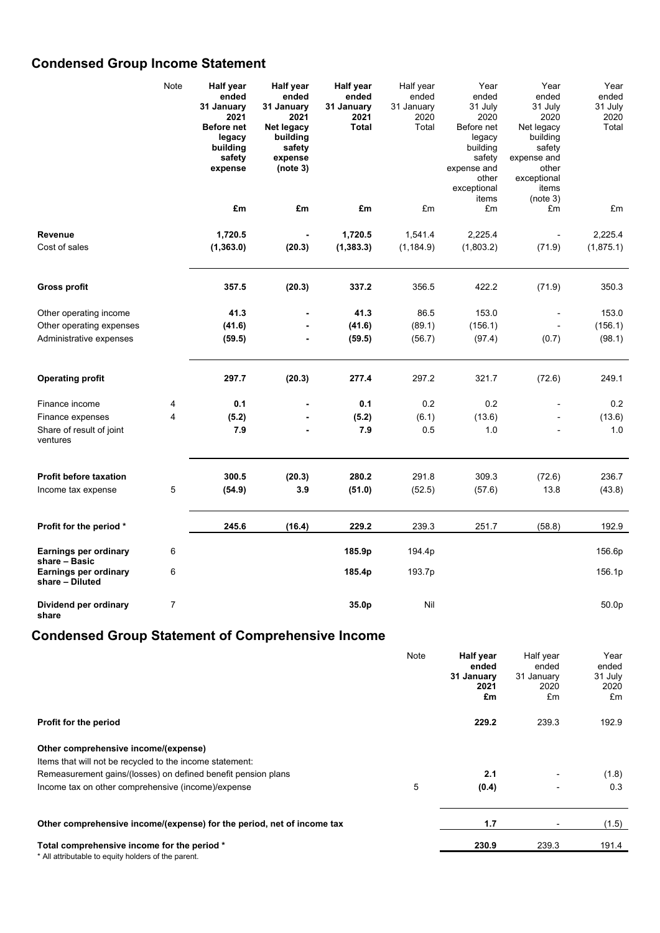# **Condensed Group Income Statement**

|                                               | Note           | <b>Half year</b><br>ended<br>31 January<br>2021<br><b>Before net</b><br>legacy<br>building<br>safety<br>expense | <b>Half year</b><br>ended<br>31 January<br>2021<br><b>Net legacy</b><br>building<br>safety<br>expense<br>(note 3) | <b>Half year</b><br>ended<br>31 January<br>2021<br><b>Total</b> | Half year<br>ended<br>31 January<br>2020<br>Total | Year<br>ended<br>31 July<br>2020<br>Before net<br>legacy<br>building<br>safety<br>expense and<br>other<br>exceptional<br>items | Year<br>ended<br>31 July<br>2020<br>Net legacy<br>building<br>safety<br>expense and<br>other<br>exceptional<br>items<br>(note 3) | Year<br>ended<br>31 July<br>2020<br>Total |
|-----------------------------------------------|----------------|-----------------------------------------------------------------------------------------------------------------|-------------------------------------------------------------------------------------------------------------------|-----------------------------------------------------------------|---------------------------------------------------|--------------------------------------------------------------------------------------------------------------------------------|----------------------------------------------------------------------------------------------------------------------------------|-------------------------------------------|
|                                               |                | £m                                                                                                              | £m                                                                                                                | £m                                                              | £m                                                | £m                                                                                                                             | £m                                                                                                                               | £m                                        |
| Revenue                                       |                | 1,720.5                                                                                                         |                                                                                                                   | 1,720.5                                                         | 1,541.4                                           | 2,225.4                                                                                                                        |                                                                                                                                  | 2,225.4                                   |
| Cost of sales                                 |                | (1, 363.0)                                                                                                      | (20.3)                                                                                                            | (1, 383.3)                                                      | (1, 184.9)                                        | (1,803.2)                                                                                                                      | (71.9)                                                                                                                           | (1,875.1)                                 |
| Gross profit                                  |                | 357.5                                                                                                           | (20.3)                                                                                                            | 337.2                                                           | 356.5                                             | 422.2                                                                                                                          | (71.9)                                                                                                                           | 350.3                                     |
| Other operating income                        |                | 41.3                                                                                                            |                                                                                                                   | 41.3                                                            | 86.5                                              | 153.0                                                                                                                          |                                                                                                                                  | 153.0                                     |
| Other operating expenses                      |                | (41.6)                                                                                                          |                                                                                                                   | (41.6)                                                          | (89.1)                                            | (156.1)                                                                                                                        |                                                                                                                                  | (156.1)                                   |
| Administrative expenses                       |                | (59.5)                                                                                                          | $\blacksquare$                                                                                                    | (59.5)                                                          | (56.7)                                            | (97.4)                                                                                                                         | (0.7)                                                                                                                            | (98.1)                                    |
| <b>Operating profit</b>                       |                | 297.7                                                                                                           | (20.3)                                                                                                            | 277.4                                                           | 297.2                                             | 321.7                                                                                                                          | (72.6)                                                                                                                           | 249.1                                     |
| Finance income                                | 4              | 0.1                                                                                                             |                                                                                                                   | 0.1                                                             | 0.2                                               | 0.2                                                                                                                            |                                                                                                                                  | 0.2                                       |
| Finance expenses                              | $\overline{4}$ | (5.2)                                                                                                           |                                                                                                                   | (5.2)                                                           | (6.1)                                             | (13.6)                                                                                                                         |                                                                                                                                  | (13.6)                                    |
| Share of result of joint<br>ventures          |                | 7.9                                                                                                             |                                                                                                                   | 7.9                                                             | 0.5                                               | 1.0                                                                                                                            |                                                                                                                                  | 1.0                                       |
| <b>Profit before taxation</b>                 |                | 300.5                                                                                                           | (20.3)                                                                                                            | 280.2                                                           | 291.8                                             | 309.3                                                                                                                          | (72.6)                                                                                                                           | 236.7                                     |
| Income tax expense                            | 5              | (54.9)                                                                                                          | 3.9                                                                                                               | (51.0)                                                          | (52.5)                                            | (57.6)                                                                                                                         | 13.8                                                                                                                             | (43.8)                                    |
| Profit for the period *                       |                | 245.6                                                                                                           | (16.4)                                                                                                            | 229.2                                                           | 239.3                                             | 251.7                                                                                                                          | (58.8)                                                                                                                           | 192.9                                     |
| <b>Earnings per ordinary</b><br>share - Basic | 6              |                                                                                                                 |                                                                                                                   | 185.9p                                                          | 194.4p                                            |                                                                                                                                |                                                                                                                                  | 156.6p                                    |
| Earnings per ordinary<br>share - Diluted      | 6              |                                                                                                                 |                                                                                                                   | 185.4p                                                          | 193.7p                                            |                                                                                                                                |                                                                                                                                  | 156.1p                                    |
| Dividend per ordinary<br>share                | $\overline{7}$ |                                                                                                                 |                                                                                                                   | 35.0p                                                           | Nil                                               |                                                                                                                                |                                                                                                                                  | 50.0 <sub>p</sub>                         |

# **Condensed Group Statement of Comprehensive Income**

|                                                                                                    | Note | <b>Half year</b><br>ended<br>31 January<br>2021<br>£m | Half year<br>ended<br>31 January<br>2020<br>£m | Year<br>ended<br>31 July<br>2020<br>£m |
|----------------------------------------------------------------------------------------------------|------|-------------------------------------------------------|------------------------------------------------|----------------------------------------|
| Profit for the period                                                                              |      | 229.2                                                 | 239.3                                          | 192.9                                  |
| Other comprehensive income/(expense)                                                               |      |                                                       |                                                |                                        |
| Items that will not be recycled to the income statement:                                           |      |                                                       |                                                |                                        |
| Remeasurement gains/(losses) on defined benefit pension plans                                      |      | 2.1                                                   |                                                | (1.8)                                  |
| Income tax on other comprehensive (income)/expense                                                 | 5    | (0.4)                                                 |                                                | 0.3                                    |
| Other comprehensive income/(expense) for the period, net of income tax                             |      | 1.7                                                   |                                                | (1.5)                                  |
| Total comprehensive income for the period *<br>* All attributable to equity holders of the parent. |      | 230.9                                                 | 239.3                                          | 191.4                                  |

equity holders of the pa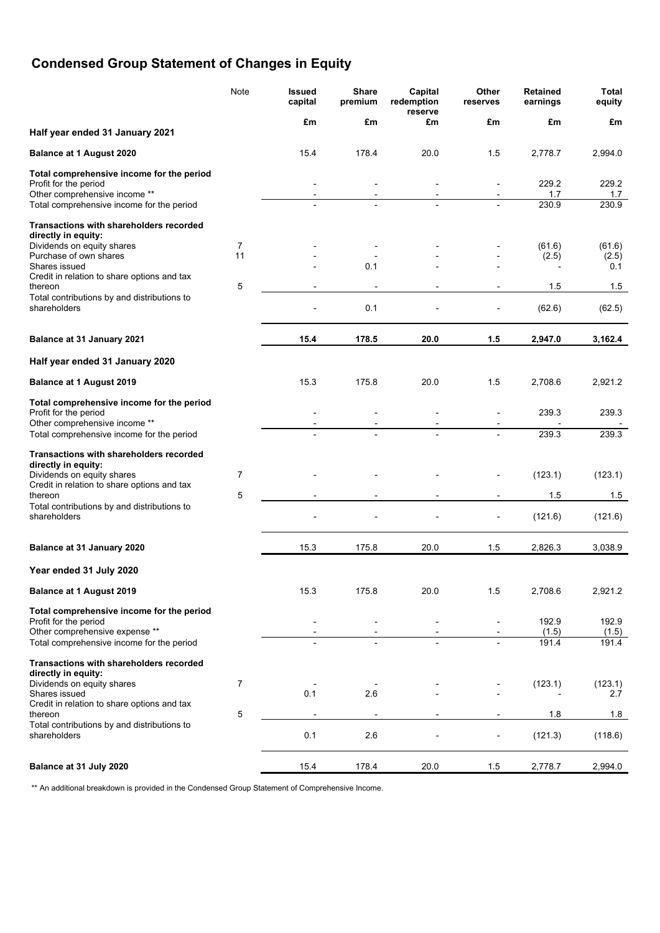# **Condensed Group Statement of Changes in Equity**

|                                                                                                     | Note    | <b>Issued</b><br>capital | <b>Share</b><br>premium  | Capital<br>redemption<br>reserve | Other<br>reserves        | <b>Retained</b><br>earnings | Total<br>equity |
|-----------------------------------------------------------------------------------------------------|---------|--------------------------|--------------------------|----------------------------------|--------------------------|-----------------------------|-----------------|
| Half year ended 31 January 2021                                                                     |         | £m                       | £m                       | £m                               | £m                       | £m                          | £m              |
| <b>Balance at 1 August 2020</b>                                                                     |         | 15.4                     | 178.4                    | 20.0                             | 1.5                      | 2,778.7                     | 2,994.0         |
| Total comprehensive income for the period<br>Profit for the period                                  |         | $\overline{\phantom{a}}$ | $\blacksquare$           | $\blacksquare$                   | $\overline{\phantom{0}}$ | 229.2                       | 229.2           |
| Other comprehensive income **                                                                       |         |                          |                          |                                  |                          | 1.7                         | 1.7             |
| Total comprehensive income for the period                                                           |         |                          |                          |                                  |                          | 230.9                       | 230.9           |
| Transactions with shareholders recorded<br>directly in equity:                                      |         |                          |                          |                                  |                          |                             |                 |
| Dividends on equity shares<br>Purchase of own shares                                                | 7<br>11 |                          |                          |                                  |                          | (61.6)<br>(2.5)             | (61.6)<br>(2.5) |
| Shares issued                                                                                       |         |                          | 0.1                      |                                  |                          |                             | 0.1             |
| Credit in relation to share options and tax<br>thereon                                              | 5       |                          |                          |                                  |                          | 1.5                         | 1.5             |
| Total contributions by and distributions to                                                         |         |                          |                          |                                  |                          |                             |                 |
| shareholders                                                                                        |         |                          | 0.1                      |                                  |                          | (62.6)                      | (62.5)          |
| Balance at 31 January 2021                                                                          |         | 15.4                     | 178.5                    | 20.0                             | 1.5                      | 2,947.0                     | 3,162.4         |
| Half year ended 31 January 2020                                                                     |         |                          |                          |                                  |                          |                             |                 |
| Balance at 1 August 2019                                                                            |         | 15.3                     | 175.8                    | 20.0                             | 1.5                      | 2,708.6                     | 2,921.2         |
| Total comprehensive income for the period<br>Profit for the period<br>Other comprehensive income ** |         | $\overline{\phantom{a}}$ | $\overline{\phantom{a}}$ | $\overline{\phantom{a}}$         | -                        | 239.3                       | 239.3           |
| Total comprehensive income for the period                                                           |         |                          |                          |                                  | $\overline{a}$           | 239.3                       | 239.3           |
| Transactions with shareholders recorded<br>directly in equity:                                      |         |                          |                          |                                  |                          |                             |                 |
| Dividends on equity shares<br>Credit in relation to share options and tax                           | 7       |                          |                          |                                  |                          | (123.1)                     | (123.1)         |
| thereon                                                                                             | 5       |                          |                          |                                  |                          | 1.5                         | 1.5             |
| Total contributions by and distributions to<br>shareholders                                         |         |                          |                          |                                  | ÷                        | (121.6)                     | (121.6)         |
| Balance at 31 January 2020                                                                          |         | 15.3                     | 175.8                    | 20.0                             | 1.5                      | 2,826.3                     | 3,038.9         |
| Year ended 31 July 2020                                                                             |         |                          |                          |                                  |                          |                             |                 |
| Balance at 1 August 2019                                                                            |         | 15.3                     | 175.8                    | 20.0                             | 1.5                      | 2,708.6                     | 2,921.2         |
| Total comprehensive income for the period<br>Profit for the period                                  |         |                          |                          |                                  |                          | 192.9                       | 192.9           |
| Other comprehensive expense **                                                                      |         |                          | $\overline{\phantom{0}}$ |                                  |                          | (1.5)                       | (1.5)           |
| Total comprehensive income for the period                                                           |         | $\overline{a}$           | $\overline{a}$           | $\sim$                           | $\overline{\phantom{0}}$ | 191.4                       | 191.4           |
| Transactions with shareholders recorded<br>directly in equity:                                      |         |                          |                          |                                  |                          |                             |                 |
| Dividends on equity shares<br>Shares issued                                                         | 7       | 0.1                      | 2.6                      |                                  |                          | (123.1)                     | (123.1)<br>2.7  |
| Credit in relation to share options and tax                                                         | 5       |                          |                          |                                  |                          | 1.8                         | 1.8             |
| thereon<br>Total contributions by and distributions to                                              |         |                          |                          |                                  |                          |                             |                 |
| shareholders                                                                                        |         | 0.1                      | 2.6                      |                                  | $\overline{\phantom{0}}$ | (121.3)                     | (118.6)         |
| Balance at 31 July 2020                                                                             |         | 15.4                     | 178.4                    | 20.0                             | 1.5                      | 2,778.7                     | 2,994.0         |

\*\* An additional breakdown is provided in the Condensed Group Statement of Comprehensive Income.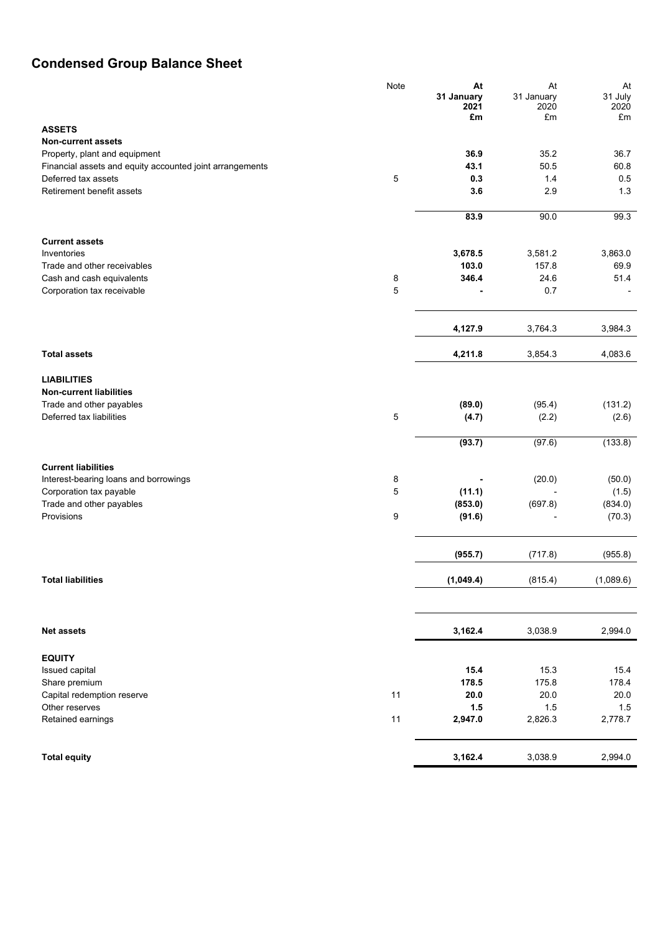# **Condensed Group Balance Sheet**

|                                                          |             | 31 January<br>2021<br>£m | 31 January<br>2020<br>£m | 31 July<br>2020<br>£m |
|----------------------------------------------------------|-------------|--------------------------|--------------------------|-----------------------|
| <b>ASSETS</b>                                            |             |                          |                          |                       |
| <b>Non-current assets</b>                                |             |                          |                          |                       |
| Property, plant and equipment                            |             | 36.9                     | 35.2                     | 36.7                  |
| Financial assets and equity accounted joint arrangements |             | 43.1                     | 50.5                     | 60.8                  |
| Deferred tax assets                                      | 5           | 0.3                      | 1.4                      | 0.5                   |
| Retirement benefit assets                                |             | 3.6                      | 2.9                      | 1.3                   |
|                                                          |             | 83.9                     | 90.0                     | 99.3                  |
| <b>Current assets</b>                                    |             |                          |                          |                       |
| Inventories                                              |             | 3,678.5                  | 3,581.2                  | 3,863.0               |
| Trade and other receivables                              |             | 103.0                    | 157.8                    | 69.9                  |
| Cash and cash equivalents                                | 8           | 346.4                    | 24.6                     | 51.4                  |
| Corporation tax receivable                               | 5           |                          | 0.7                      |                       |
|                                                          |             | 4,127.9                  | 3,764.3                  | 3,984.3               |
| <b>Total assets</b>                                      |             | 4,211.8                  | 3,854.3                  | 4,083.6               |
| <b>LIABILITIES</b>                                       |             |                          |                          |                       |
| <b>Non-current liabilities</b>                           |             |                          |                          |                       |
| Trade and other payables                                 |             | (89.0)                   | (95.4)                   | (131.2)               |
| Deferred tax liabilities                                 | 5           | (4.7)                    | (2.2)                    | (2.6)                 |
|                                                          |             | (93.7)                   | (97.6)                   | (133.8)               |
| <b>Current liabilities</b>                               |             |                          |                          |                       |
| Interest-bearing loans and borrowings                    | 8           |                          | (20.0)                   | (50.0)                |
| Corporation tax payable                                  | $\mathbf 5$ | (11.1)                   |                          | (1.5)                 |
| Trade and other payables                                 |             | (853.0)                  | (697.8)                  | (834.0)               |
| Provisions                                               | 9           | (91.6)                   |                          | (70.3)                |
|                                                          |             | (955.7)                  | (717.8)                  | (955.8)               |
| <b>Total liabilities</b>                                 |             | (1,049.4)                | (815.4)                  | (1,089.6)             |
|                                                          |             |                          |                          |                       |
| <b>Net assets</b>                                        |             | 3,162.4                  | 3,038.9                  | 2,994.0               |
| <b>EQUITY</b>                                            |             |                          |                          |                       |
| Issued capital                                           |             | 15.4                     | 15.3                     | 15.4                  |
| Share premium                                            |             | 178.5                    | 175.8                    | 178.4                 |
| Capital redemption reserve                               | 11          | 20.0                     | 20.0                     | 20.0                  |
| Other reserves                                           |             | $1.5$                    | 1.5                      | 1.5                   |
| Retained earnings                                        | 11          | 2,947.0                  | 2,826.3                  | 2,778.7               |
| <b>Total equity</b>                                      |             | 3,162.4                  | 3,038.9                  | 2,994.0               |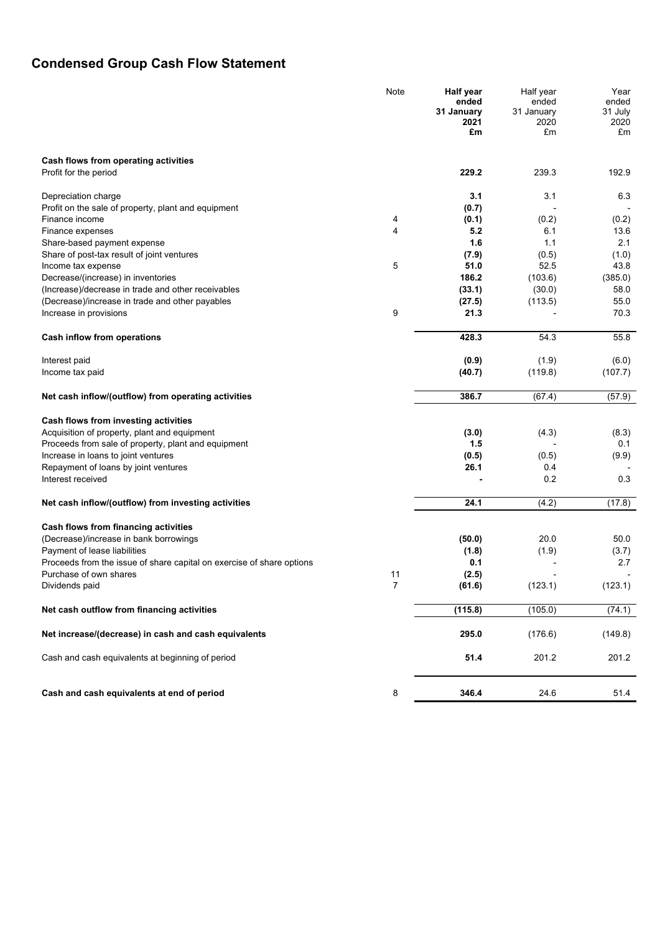# **Condensed Group Cash Flow Statement**

|                                                                       | Note | <b>Half year</b><br>ended<br>31 January<br>2021<br>£m | Half year<br>ended<br>31 January<br>2020<br>£m | Year<br>ended<br>31 July<br>2020<br>£m |
|-----------------------------------------------------------------------|------|-------------------------------------------------------|------------------------------------------------|----------------------------------------|
| Cash flows from operating activities<br>Profit for the period         |      | 229.2                                                 | 239.3                                          | 192.9                                  |
| Depreciation charge                                                   |      | 3.1                                                   | 3.1                                            | 6.3                                    |
| Profit on the sale of property, plant and equipment                   |      | (0.7)                                                 |                                                |                                        |
| Finance income                                                        | 4    | (0.1)                                                 | (0.2)                                          | (0.2)                                  |
| Finance expenses                                                      | 4    | 5.2                                                   | 6.1                                            | 13.6                                   |
| Share-based payment expense                                           |      | 1.6                                                   | 1.1                                            | 2.1                                    |
| Share of post-tax result of joint ventures                            |      | (7.9)                                                 | (0.5)                                          | (1.0)                                  |
| Income tax expense                                                    | 5    | 51.0                                                  | 52.5                                           | 43.8                                   |
| Decrease/(increase) in inventories                                    |      | 186.2                                                 | (103.6)                                        | (385.0)                                |
| (Increase)/decrease in trade and other receivables                    |      | (33.1)                                                | (30.0)                                         | 58.0                                   |
| (Decrease)/increase in trade and other payables                       |      | (27.5)                                                | (113.5)                                        | 55.0                                   |
| Increase in provisions                                                | 9    | 21.3                                                  |                                                | 70.3                                   |
| Cash inflow from operations                                           |      | 428.3                                                 | 54.3                                           | 55.8                                   |
| Interest paid                                                         |      | (0.9)                                                 | (1.9)                                          | (6.0)                                  |
| Income tax paid                                                       |      | (40.7)                                                | (119.8)                                        | (107.7)                                |
| Net cash inflow/(outflow) from operating activities                   |      | 386.7                                                 | (67.4)                                         | (57.9)                                 |
| Cash flows from investing activities                                  |      |                                                       |                                                |                                        |
| Acquisition of property, plant and equipment                          |      | (3.0)                                                 | (4.3)                                          | (8.3)                                  |
| Proceeds from sale of property, plant and equipment                   |      | 1.5                                                   |                                                | 0.1                                    |
| Increase in loans to joint ventures                                   |      | (0.5)                                                 | (0.5)                                          | (9.9)                                  |
| Repayment of loans by joint ventures                                  |      | 26.1                                                  | 0.4                                            |                                        |
| Interest received                                                     |      |                                                       | 0.2                                            | 0.3                                    |
|                                                                       |      |                                                       |                                                |                                        |
| Net cash inflow/(outflow) from investing activities                   |      | 24.1                                                  | (4.2)                                          | (17.8)                                 |
| Cash flows from financing activities                                  |      |                                                       |                                                |                                        |
| (Decrease)/increase in bank borrowings                                |      | (50.0)                                                | 20.0                                           | 50.0                                   |
| Payment of lease liabilities                                          |      | (1.8)                                                 | (1.9)                                          | (3.7)                                  |
| Proceeds from the issue of share capital on exercise of share options |      | 0.1                                                   |                                                | 2.7                                    |
| Purchase of own shares                                                | 11   | (2.5)                                                 | $\overline{\phantom{a}}$                       |                                        |
| Dividends paid                                                        |      | (61.6)                                                | (123.1)                                        | (123.1)                                |
| Net cash outflow from financing activities                            |      | (115.8)                                               | (105.0)                                        | (74.1)                                 |
| Net increase/(decrease) in cash and cash equivalents                  |      | 295.0                                                 | (176.6)                                        | (149.8)                                |
| Cash and cash equivalents at beginning of period                      |      | 51.4                                                  | 201.2                                          | 201.2                                  |
|                                                                       |      |                                                       |                                                |                                        |
| Cash and cash equivalents at end of period                            | 8    | 346.4                                                 | 24.6                                           | 51.4                                   |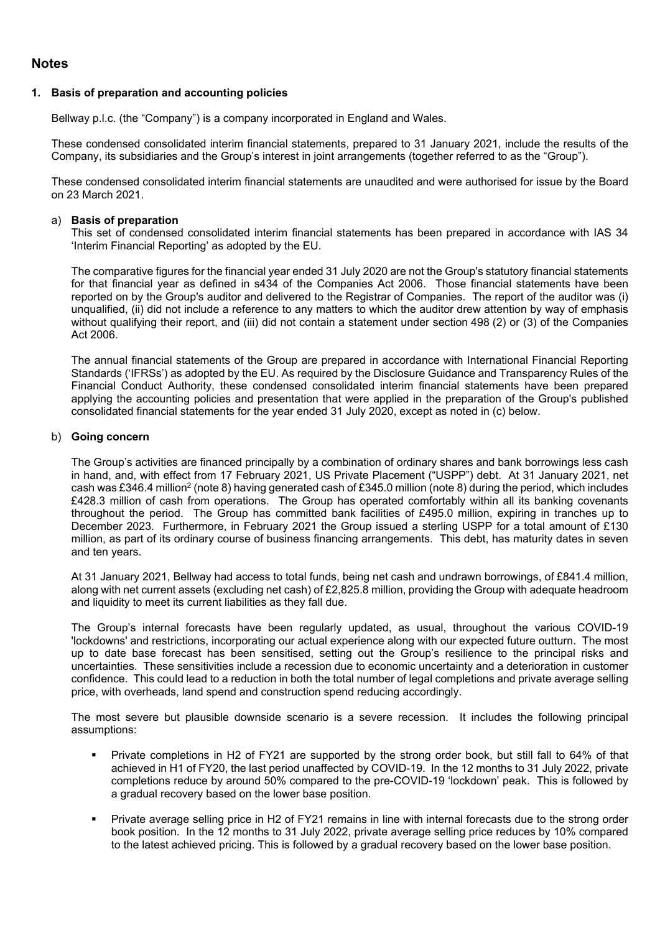## **Notes**

## **1. Basis of preparation and accounting policies**

Bellway p.l.c. (the "Company") is a company incorporated in England and Wales.

These condensed consolidated interim financial statements, prepared to 31 January 2021, include the results of the Company, its subsidiaries and the Group's interest in joint arrangements (together referred to as the "Group").

These condensed consolidated interim financial statements are unaudited and were authorised for issue by the Board on 23 March 2021.

### a) **Basis of preparation**

This set of condensed consolidated interim financial statements has been prepared in accordance with IAS 34 'Interim Financial Reporting' as adopted by the EU.

The comparative figures for the financial year ended 31 July 2020 are not the Group's statutory financial statements for that financial year as defined in s434 of the Companies Act 2006. Those financial statements have been reported on by the Group's auditor and delivered to the Registrar of Companies. The report of the auditor was (i) unqualified, (ii) did not include a reference to any matters to which the auditor drew attention by way of emphasis without qualifying their report, and (iii) did not contain a statement under section 498 (2) or (3) of the Companies Act 2006.

The annual financial statements of the Group are prepared in accordance with International Financial Reporting Standards ('IFRSs') as adopted by the EU. As required by the Disclosure Guidance and Transparency Rules of the Financial Conduct Authority, these condensed consolidated interim financial statements have been prepared applying the accounting policies and presentation that were applied in the preparation of the Group's published consolidated financial statements for the year ended 31 July 2020, except as noted in (c) below.

### b) **Going concern**

The Group's activities are financed principally by a combination of ordinary shares and bank borrowings less cash in hand, and, with effect from 17 February 2021, US Private Placement ("USPP") debt. At 31 January 2021, net cash was £346.4 million<sup>2</sup> (note 8) having generated cash of £345.0 million (note 8) during the period, which includes £428.3 million of cash from operations. The Group has operated comfortably within all its banking covenants throughout the period. The Group has committed bank facilities of £495.0 million, expiring in tranches up to December 2023. Furthermore, in February 2021 the Group issued a sterling USPP for a total amount of £130 million, as part of its ordinary course of business financing arrangements. This debt, has maturity dates in seven and ten years.

At 31 January 2021, Bellway had access to total funds, being net cash and undrawn borrowings, of £841.4 million, along with net current assets (excluding net cash) of £2,825.8 million, providing the Group with adequate headroom and liquidity to meet its current liabilities as they fall due.

The Group's internal forecasts have been regularly updated, as usual, throughout the various COVID-19 'lockdowns' and restrictions, incorporating our actual experience along with our expected future outturn. The most up to date base forecast has been sensitised, setting out the Group's resilience to the principal risks and uncertainties. These sensitivities include a recession due to economic uncertainty and a deterioration in customer confidence. This could lead to a reduction in both the total number of legal completions and private average selling price, with overheads, land spend and construction spend reducing accordingly.

The most severe but plausible downside scenario is a severe recession. It includes the following principal assumptions:

- Private completions in H2 of FY21 are supported by the strong order book, but still fall to 64% of that achieved in H1 of FY20, the last period unaffected by COVID-19. In the 12 months to 31 July 2022, private completions reduce by around 50% compared to the pre-COVID-19 'lockdown' peak. This is followed by a gradual recovery based on the lower base position.
- Private average selling price in H2 of FY21 remains in line with internal forecasts due to the strong order book position. In the 12 months to 31 July 2022, private average selling price reduces by 10% compared to the latest achieved pricing. This is followed by a gradual recovery based on the lower base position.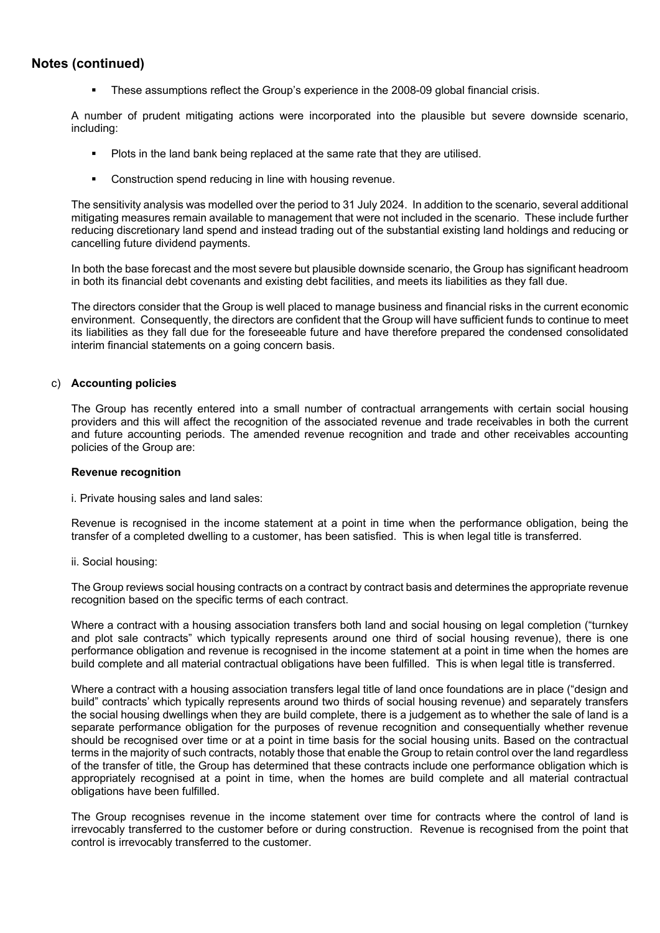These assumptions reflect the Group's experience in the 2008-09 global financial crisis.

A number of prudent mitigating actions were incorporated into the plausible but severe downside scenario, including:

- Plots in the land bank being replaced at the same rate that they are utilised.
- **EXECONSTRUCTED SPEND FEDERAL FIGHTS CONSTRUCTED SPENDITED SPENDITED SPENDITED SPENDITED SPENDITED SPENDITED SPENDITED SPENDITED SPENDITED SPENDITED SPENDITED SPENDITED SPENDITED SPENDITED SPENDITED SPENDITED SPENDITED SPE**

The sensitivity analysis was modelled over the period to 31 July 2024. In addition to the scenario, several additional mitigating measures remain available to management that were not included in the scenario. These include further reducing discretionary land spend and instead trading out of the substantial existing land holdings and reducing or cancelling future dividend payments.

In both the base forecast and the most severe but plausible downside scenario, the Group has significant headroom in both its financial debt covenants and existing debt facilities, and meets its liabilities as they fall due.

The directors consider that the Group is well placed to manage business and financial risks in the current economic environment. Consequently, the directors are confident that the Group will have sufficient funds to continue to meet its liabilities as they fall due for the foreseeable future and have therefore prepared the condensed consolidated interim financial statements on a going concern basis.

#### c) **Accounting policies**

The Group has recently entered into a small number of contractual arrangements with certain social housing providers and this will affect the recognition of the associated revenue and trade receivables in both the current and future accounting periods. The amended revenue recognition and trade and other receivables accounting policies of the Group are:

#### **Revenue recognition**

i. Private housing sales and land sales:

Revenue is recognised in the income statement at a point in time when the performance obligation, being the transfer of a completed dwelling to a customer, has been satisfied. This is when legal title is transferred.

ii. Social housing:

The Group reviews social housing contracts on a contract by contract basis and determines the appropriate revenue recognition based on the specific terms of each contract.

Where a contract with a housing association transfers both land and social housing on legal completion ("turnkey and plot sale contracts" which typically represents around one third of social housing revenue), there is one performance obligation and revenue is recognised in the income statement at a point in time when the homes are build complete and all material contractual obligations have been fulfilled. This is when legal title is transferred.

Where a contract with a housing association transfers legal title of land once foundations are in place ("design and build" contracts' which typically represents around two thirds of social housing revenue) and separately transfers the social housing dwellings when they are build complete, there is a judgement as to whether the sale of land is a separate performance obligation for the purposes of revenue recognition and consequentially whether revenue should be recognised over time or at a point in time basis for the social housing units. Based on the contractual terms in the majority of such contracts, notably those that enable the Group to retain control over the land regardless of the transfer of title, the Group has determined that these contracts include one performance obligation which is appropriately recognised at a point in time, when the homes are build complete and all material contractual obligations have been fulfilled.

The Group recognises revenue in the income statement over time for contracts where the control of land is irrevocably transferred to the customer before or during construction. Revenue is recognised from the point that control is irrevocably transferred to the customer.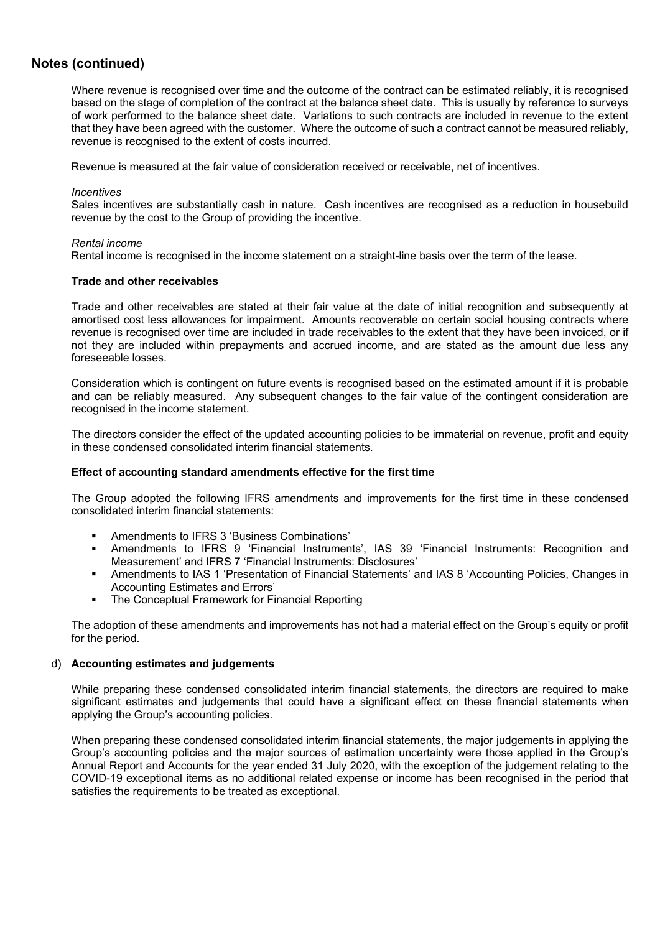Where revenue is recognised over time and the outcome of the contract can be estimated reliably, it is recognised based on the stage of completion of the contract at the balance sheet date. This is usually by reference to surveys of work performed to the balance sheet date. Variations to such contracts are included in revenue to the extent that they have been agreed with the customer. Where the outcome of such a contract cannot be measured reliably, revenue is recognised to the extent of costs incurred.

Revenue is measured at the fair value of consideration received or receivable, net of incentives.

#### *Incentives*

Sales incentives are substantially cash in nature. Cash incentives are recognised as a reduction in housebuild revenue by the cost to the Group of providing the incentive.

#### *Rental income*

Rental income is recognised in the income statement on a straight-line basis over the term of the lease.

#### **Trade and other receivables**

Trade and other receivables are stated at their fair value at the date of initial recognition and subsequently at amortised cost less allowances for impairment. Amounts recoverable on certain social housing contracts where revenue is recognised over time are included in trade receivables to the extent that they have been invoiced, or if not they are included within prepayments and accrued income, and are stated as the amount due less any foreseeable losses.

Consideration which is contingent on future events is recognised based on the estimated amount if it is probable and can be reliably measured. Any subsequent changes to the fair value of the contingent consideration are recognised in the income statement.

The directors consider the effect of the updated accounting policies to be immaterial on revenue, profit and equity in these condensed consolidated interim financial statements.

#### **Effect of accounting standard amendments effective for the first time**

The Group adopted the following IFRS amendments and improvements for the first time in these condensed consolidated interim financial statements:

- Amendments to IFRS 3 'Business Combinations'
- Amendments to IFRS 9 'Financial Instruments', IAS 39 'Financial Instruments: Recognition and Measurement' and IFRS 7 'Financial Instruments: Disclosures'
- Amendments to IAS 1 'Presentation of Financial Statements' and IAS 8 'Accounting Policies, Changes in Accounting Estimates and Errors'
- The Conceptual Framework for Financial Reporting

The adoption of these amendments and improvements has not had a material effect on the Group's equity or profit for the period.

#### d) **Accounting estimates and judgements**

While preparing these condensed consolidated interim financial statements, the directors are required to make significant estimates and judgements that could have a significant effect on these financial statements when applying the Group's accounting policies.

When preparing these condensed consolidated interim financial statements, the major judgements in applying the Group's accounting policies and the major sources of estimation uncertainty were those applied in the Group's Annual Report and Accounts for the year ended 31 July 2020, with the exception of the judgement relating to the COVID-19 exceptional items as no additional related expense or income has been recognised in the period that satisfies the requirements to be treated as exceptional.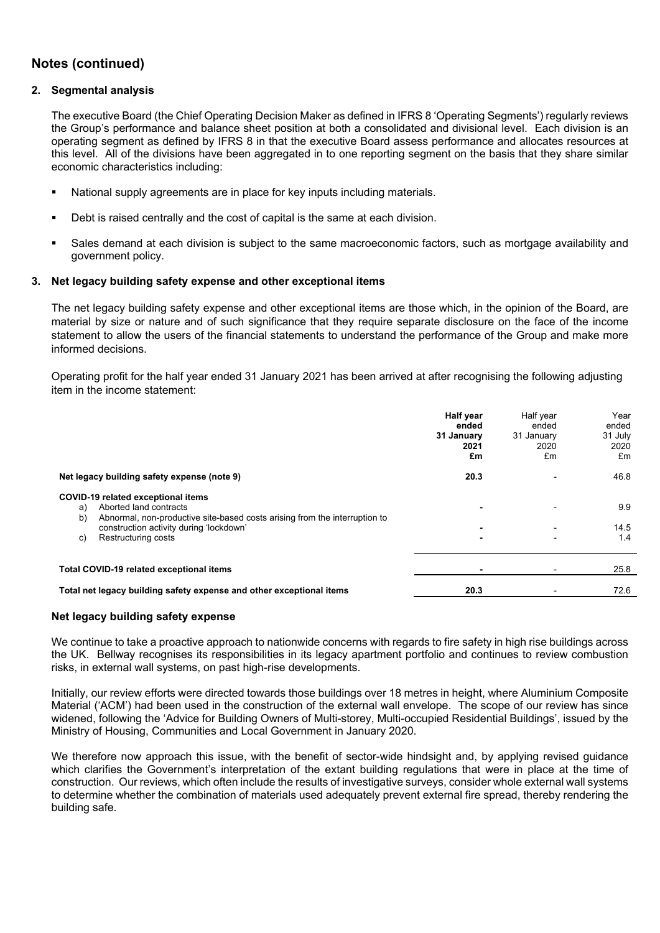## **2. Segmental analysis**

The executive Board (the Chief Operating Decision Maker as defined in IFRS 8 'Operating Segments') regularly reviews the Group's performance and balance sheet position at both a consolidated and divisional level. Each division is an operating segment as defined by IFRS 8 in that the executive Board assess performance and allocates resources at this level. All of the divisions have been aggregated in to one reporting segment on the basis that they share similar economic characteristics including:

- National supply agreements are in place for key inputs including materials.
- Debt is raised centrally and the cost of capital is the same at each division.
- Sales demand at each division is subject to the same macroeconomic factors, such as mortgage availability and government policy.

#### **3. Net legacy building safety expense and other exceptional items**

The net legacy building safety expense and other exceptional items are those which, in the opinion of the Board, are material by size or nature and of such significance that they require separate disclosure on the face of the income statement to allow the users of the financial statements to understand the performance of the Group and make more informed decisions.

Operating profit for the half year ended 31 January 2021 has been arrived at after recognising the following adjusting item in the income statement:

|                                                                                                                                                                                                                                | <b>Half year</b><br>ended<br>31 January<br>2021<br>£m | Half year<br>ended<br>31 January<br>2020<br>£m | Year<br>ended<br>31 July<br>2020<br>£m |
|--------------------------------------------------------------------------------------------------------------------------------------------------------------------------------------------------------------------------------|-------------------------------------------------------|------------------------------------------------|----------------------------------------|
| Net legacy building safety expense (note 9)                                                                                                                                                                                    | 20.3                                                  |                                                | 46.8                                   |
| COVID-19 related exceptional items<br>Aborted land contracts<br>a)<br>b)<br>Abnormal, non-productive site-based costs arising from the interruption to<br>construction activity during 'lockdown'<br>Restructuring costs<br>C) |                                                       | $\overline{\phantom{0}}$                       | 9.9<br>14.5<br>1.4                     |
| Total COVID-19 related exceptional items                                                                                                                                                                                       |                                                       |                                                | 25.8                                   |
| Total net legacy building safety expense and other exceptional items                                                                                                                                                           | 20.3                                                  |                                                | 72.6                                   |

#### **Net legacy building safety expense**

We continue to take a proactive approach to nationwide concerns with regards to fire safety in high rise buildings across the UK. Bellway recognises its responsibilities in its legacy apartment portfolio and continues to review combustion risks, in external wall systems, on past high-rise developments.

Initially, our review efforts were directed towards those buildings over 18 metres in height, where Aluminium Composite Material ('ACM') had been used in the construction of the external wall envelope. The scope of our review has since widened, following the 'Advice for Building Owners of Multi-storey, Multi-occupied Residential Buildings', issued by the Ministry of Housing, Communities and Local Government in January 2020.

We therefore now approach this issue, with the benefit of sector-wide hindsight and, by applying revised guidance which clarifies the Government's interpretation of the extant building regulations that were in place at the time of construction. Our reviews, which often include the results of investigative surveys, consider whole external wall systems to determine whether the combination of materials used adequately prevent external fire spread, thereby rendering the building safe.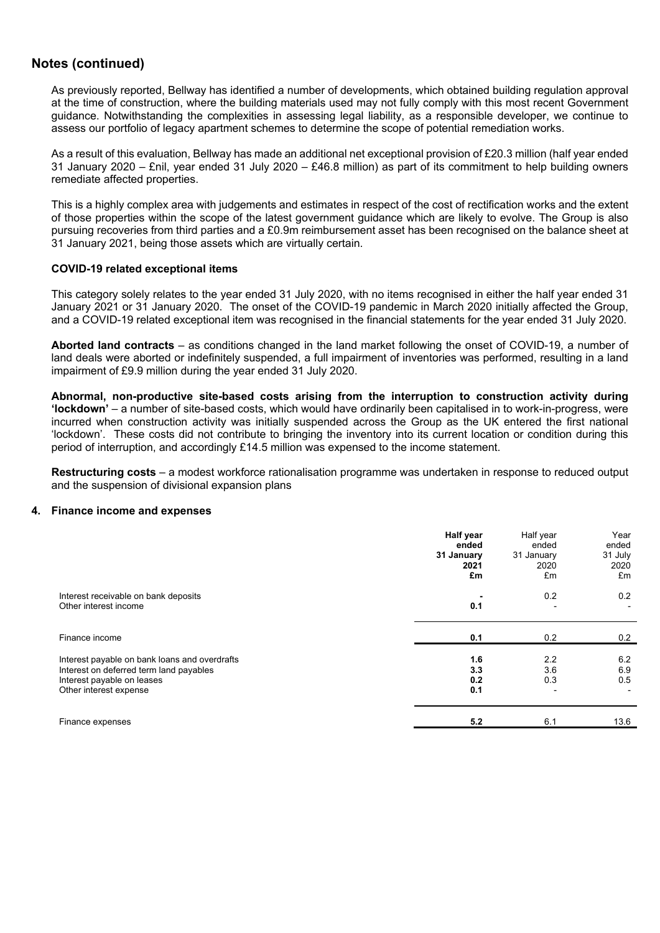As previously reported, Bellway has identified a number of developments, which obtained building regulation approval at the time of construction, where the building materials used may not fully comply with this most recent Government guidance. Notwithstanding the complexities in assessing legal liability, as a responsible developer, we continue to assess our portfolio of legacy apartment schemes to determine the scope of potential remediation works.

As a result of this evaluation, Bellway has made an additional net exceptional provision of £20.3 million (half year ended 31 January 2020 – £nil, year ended 31 July 2020 – £46.8 million) as part of its commitment to help building owners remediate affected properties.

This is a highly complex area with judgements and estimates in respect of the cost of rectification works and the extent of those properties within the scope of the latest government guidance which are likely to evolve. The Group is also pursuing recoveries from third parties and a £0.9m reimbursement asset has been recognised on the balance sheet at 31 January 2021, being those assets which are virtually certain.

### **COVID-19 related exceptional items**

This category solely relates to the year ended 31 July 2020, with no items recognised in either the half year ended 31 January 2021 or 31 January 2020. The onset of the COVID-19 pandemic in March 2020 initially affected the Group, and a COVID-19 related exceptional item was recognised in the financial statements for the year ended 31 July 2020.

**Aborted land contracts** – as conditions changed in the land market following the onset of COVID-19, a number of land deals were aborted or indefinitely suspended, a full impairment of inventories was performed, resulting in a land impairment of £9.9 million during the year ended 31 July 2020.

**Abnormal, non-productive site-based costs arising from the interruption to construction activity during 'lockdown'** – a number of site-based costs, which would have ordinarily been capitalised in to work-in-progress, were incurred when construction activity was initially suspended across the Group as the UK entered the first national 'lockdown'. These costs did not contribute to bringing the inventory into its current location or condition during this period of interruption, and accordingly £14.5 million was expensed to the income statement.

**Restructuring costs** – a modest workforce rationalisation programme was undertaken in response to reduced output and the suspension of divisional expansion plans

#### **4. Finance income and expenses**

|                                                                                                                                                  | <b>Half year</b><br>ended<br>31 January<br>2021<br>£m | Half year<br>ended<br>31 January<br>2020<br>£m | Year<br>ended<br>31 July<br>2020<br>£m |
|--------------------------------------------------------------------------------------------------------------------------------------------------|-------------------------------------------------------|------------------------------------------------|----------------------------------------|
| Interest receivable on bank deposits<br>Other interest income                                                                                    | 0.1                                                   | 0.2                                            | 0.2                                    |
| Finance income                                                                                                                                   | 0.1                                                   | 0.2                                            | 0.2                                    |
| Interest payable on bank loans and overdrafts<br>Interest on deferred term land payables<br>Interest payable on leases<br>Other interest expense | 1.6<br>3.3<br>0.2<br>0.1                              | 2.2<br>3.6<br>0.3<br>$\overline{\phantom{a}}$  | 6.2<br>6.9<br>0.5                      |
| Finance expenses                                                                                                                                 | 5.2                                                   | 6.1                                            | 13.6                                   |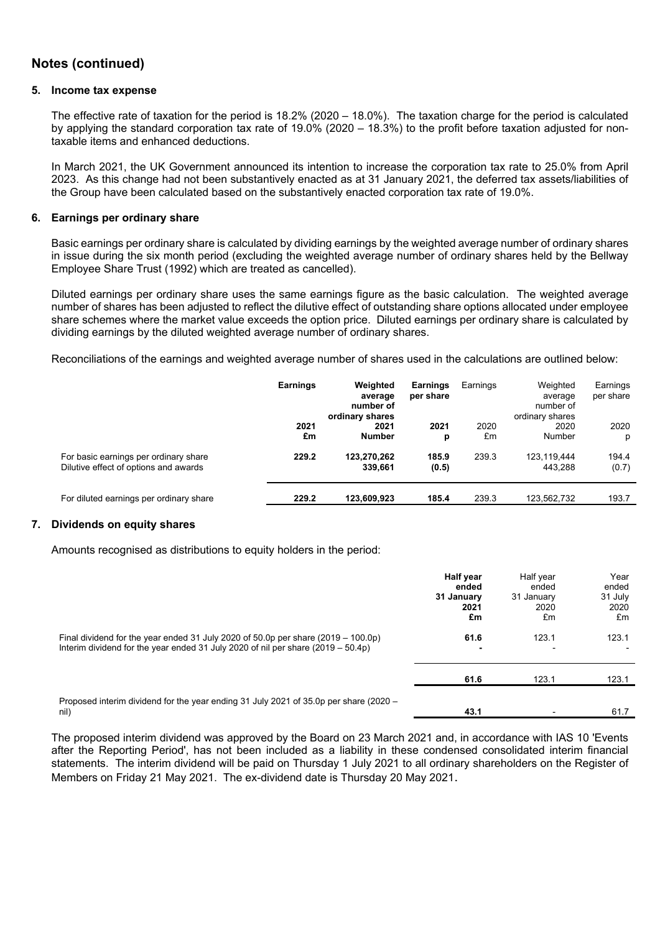#### **5. Income tax expense**

The effective rate of taxation for the period is 18.2% (2020 – 18.0%). The taxation charge for the period is calculated by applying the standard corporation tax rate of 19.0% (2020 – 18.3%) to the profit before taxation adjusted for nontaxable items and enhanced deductions.

In March 2021, the UK Government announced its intention to increase the corporation tax rate to 25.0% from April 2023. As this change had not been substantively enacted as at 31 January 2021, the deferred tax assets/liabilities of the Group have been calculated based on the substantively enacted corporation tax rate of 19.0%.

## **6. Earnings per ordinary share**

Basic earnings per ordinary share is calculated by dividing earnings by the weighted average number of ordinary shares in issue during the six month period (excluding the weighted average number of ordinary shares held by the Bellway Employee Share Trust (1992) which are treated as cancelled).

Diluted earnings per ordinary share uses the same earnings figure as the basic calculation. The weighted average number of shares has been adjusted to reflect the dilutive effect of outstanding share options allocated under employee share schemes where the market value exceeds the option price. Diluted earnings per ordinary share is calculated by dividing earnings by the diluted weighted average number of ordinary shares.

Reconciliations of the earnings and weighted average number of shares used in the calculations are outlined below:

|                                                                                | <b>Earnings</b> | Weighted<br>average<br>number of<br>ordinary shares | <b>Earnings</b><br>per share | Earnings   | Weighted<br>average<br>number of<br>ordinary shares | Earnings<br>per share |
|--------------------------------------------------------------------------------|-----------------|-----------------------------------------------------|------------------------------|------------|-----------------------------------------------------|-----------------------|
|                                                                                | 2021<br>£m      | 2021<br><b>Number</b>                               | 2021<br>p                    | 2020<br>£m | 2020<br>Number                                      | 2020<br>р             |
| For basic earnings per ordinary share<br>Dilutive effect of options and awards | 229.2           | 123.270.262<br>339,661                              | 185.9<br>(0.5)               | 239.3      | 123.119.444<br>443.288                              | 194.4<br>(0.7)        |
| For diluted earnings per ordinary share                                        | 229.2           | 123,609,923                                         | 185.4                        | 239.3      | 123,562,732                                         | 193.7                 |

#### **7. Dividends on equity shares**

Amounts recognised as distributions to equity holders in the period:

|                                                                                                                                                                         | Half year<br>ended<br>31 January<br>2021<br>£m | Half year<br>ended<br>31 January<br>2020<br>£m | Year<br>ended<br>31 July<br>2020<br>£m |
|-------------------------------------------------------------------------------------------------------------------------------------------------------------------------|------------------------------------------------|------------------------------------------------|----------------------------------------|
| Final dividend for the year ended 31 July 2020 of 50.0p per share (2019 - 100.0p)<br>Interim dividend for the year ended 31 July 2020 of nil per share $(2019 - 50.4p)$ | 61.6                                           | 123.1                                          | 123.1                                  |
|                                                                                                                                                                         | 61.6                                           | 123.1                                          | 123.1                                  |
| Proposed interim dividend for the year ending 31 July 2021 of 35.0p per share (2020 –<br>nil)                                                                           | 43.1                                           |                                                | 61.7                                   |

The proposed interim dividend was approved by the Board on 23 March 2021 and, in accordance with IAS 10 'Events after the Reporting Period', has not been included as a liability in these condensed consolidated interim financial statements. The interim dividend will be paid on Thursday 1 July 2021 to all ordinary shareholders on the Register of Members on Friday 21 May 2021. The ex-dividend date is Thursday 20 May 2021.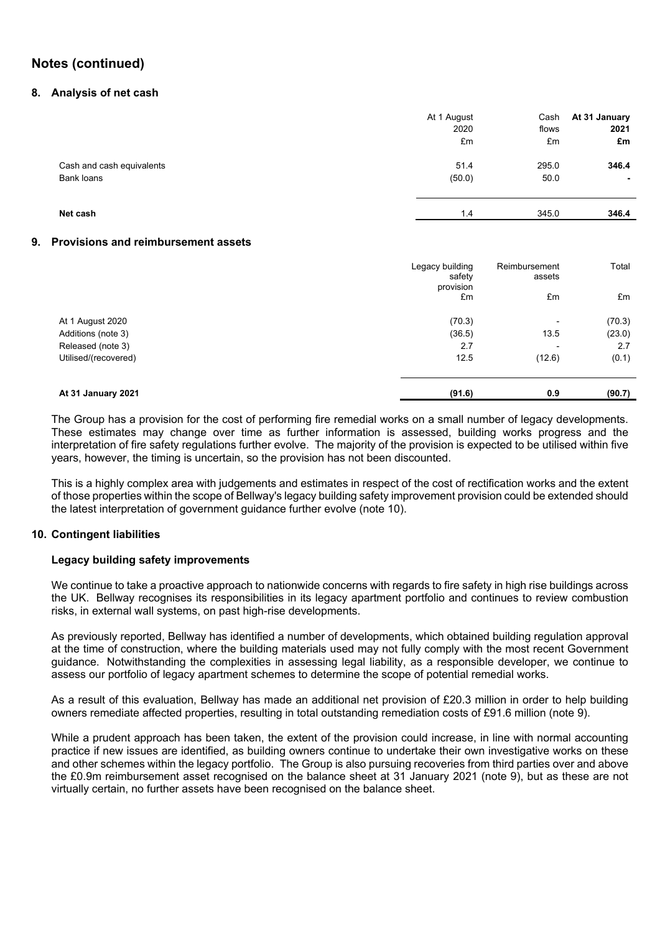### **8. Analysis of net cash**

|                           | At 1 August | Cash  | At 31 January |
|---------------------------|-------------|-------|---------------|
|                           | 2020        | flows | 2021          |
|                           | £m          | £m    | £m            |
| Cash and cash equivalents | 51.4        | 295.0 | 346.4         |
| <b>Bank loans</b>         | (50.0)      | 50.0  | ۰.            |
| Net cash                  | 1.4         | 345.0 | 346.4         |

## **9. Provisions and reimbursement assets**

|                      | Legacy building<br>safety<br>provision | Reimbursement<br>assets | Total  |  |
|----------------------|----------------------------------------|-------------------------|--------|--|
|                      | £m                                     | £m                      | £m     |  |
| At 1 August 2020     | (70.3)                                 |                         | (70.3) |  |
| Additions (note 3)   | (36.5)                                 | 13.5                    | (23.0) |  |
| Released (note 3)    | 2.7                                    |                         | 2.7    |  |
| Utilised/(recovered) | 12.5                                   | (12.6)                  | (0.1)  |  |
| At 31 January 2021   | (91.6)                                 | 0.9                     | (90.7) |  |

The Group has a provision for the cost of performing fire remedial works on a small number of legacy developments. These estimates may change over time as further information is assessed, building works progress and the interpretation of fire safety regulations further evolve. The majority of the provision is expected to be utilised within five years, however, the timing is uncertain, so the provision has not been discounted.

This is a highly complex area with judgements and estimates in respect of the cost of rectification works and the extent of those properties within the scope of Bellway's legacy building safety improvement provision could be extended should the latest interpretation of government guidance further evolve (note 10).

## **10. Contingent liabilities**

## **Legacy building safety improvements**

We continue to take a proactive approach to nationwide concerns with regards to fire safety in high rise buildings across the UK. Bellway recognises its responsibilities in its legacy apartment portfolio and continues to review combustion risks, in external wall systems, on past high-rise developments.

As previously reported, Bellway has identified a number of developments, which obtained building regulation approval at the time of construction, where the building materials used may not fully comply with the most recent Government guidance. Notwithstanding the complexities in assessing legal liability, as a responsible developer, we continue to assess our portfolio of legacy apartment schemes to determine the scope of potential remedial works.

As a result of this evaluation, Bellway has made an additional net provision of £20.3 million in order to help building owners remediate affected properties, resulting in total outstanding remediation costs of £91.6 million (note 9).

While a prudent approach has been taken, the extent of the provision could increase, in line with normal accounting practice if new issues are identified, as building owners continue to undertake their own investigative works on these and other schemes within the legacy portfolio. The Group is also pursuing recoveries from third parties over and above the £0.9m reimbursement asset recognised on the balance sheet at 31 January 2021 (note 9), but as these are not virtually certain, no further assets have been recognised on the balance sheet.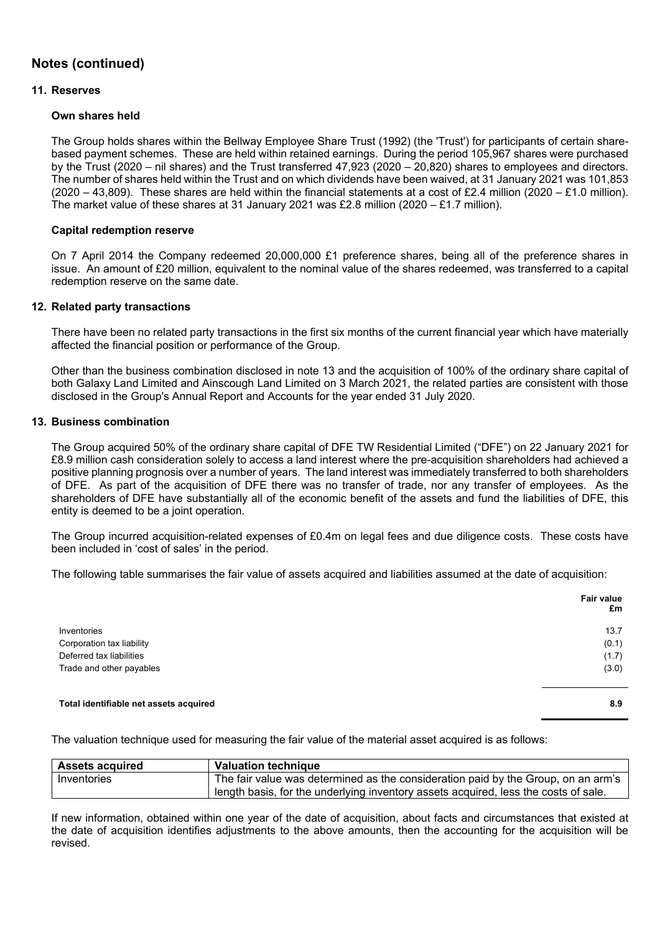## **11. Reserves**

### **Own shares held**

The Group holds shares within the Bellway Employee Share Trust (1992) (the 'Trust') for participants of certain sharebased payment schemes. These are held within retained earnings. During the period 105,967 shares were purchased by the Trust (2020 – nil shares) and the Trust transferred 47,923 (2020 – 20,820) shares to employees and directors. The number of shares held within the Trust and on which dividends have been waived, at 31 January 2021 was 101,853  $(2020 - 43,809)$ . These shares are held within the financial statements at a cost of £2.4 million (2020 – £1.0 million). The market value of these shares at 31 January 2021 was £2.8 million (2020 – £1.7 million).

#### **Capital redemption reserve**

On 7 April 2014 the Company redeemed 20,000,000 £1 preference shares, being all of the preference shares in issue. An amount of £20 million, equivalent to the nominal value of the shares redeemed, was transferred to a capital redemption reserve on the same date.

#### **12. Related party transactions**

There have been no related party transactions in the first six months of the current financial year which have materially affected the financial position or performance of the Group.

Other than the business combination disclosed in note 13 and the acquisition of 100% of the ordinary share capital of both Galaxy Land Limited and Ainscough Land Limited on 3 March 2021, the related parties are consistent with those disclosed in the Group's Annual Report and Accounts for the year ended 31 July 2020.

### **13. Business combination**

The Group acquired 50% of the ordinary share capital of DFE TW Residential Limited ("DFE") on 22 January 2021 for £8.9 million cash consideration solely to access a land interest where the pre-acquisition shareholders had achieved a positive planning prognosis over a number of years. The land interest was immediately transferred to both shareholders of DFE. As part of the acquisition of DFE there was no transfer of trade, nor any transfer of employees. As the shareholders of DFE have substantially all of the economic benefit of the assets and fund the liabilities of DFE, this entity is deemed to be a joint operation.

The Group incurred acquisition-related expenses of £0.4m on legal fees and due diligence costs. These costs have been included in 'cost of sales' in the period.

The following table summarises the fair value of assets acquired and liabilities assumed at the date of acquisition:

|                                        | <b>Fair value</b><br>£m |
|----------------------------------------|-------------------------|
| Inventories                            | 13.7                    |
| Corporation tax liability              | (0.1)                   |
| Deferred tax liabilities               | (1.7)                   |
| Trade and other payables               | (3.0)                   |
| Total identifiable net assets acquired | 8.9                     |

The valuation technique used for measuring the fair value of the material asset acquired is as follows:

| <b>Assets acquired</b> | <b>Valuation technique</b>                                                          |
|------------------------|-------------------------------------------------------------------------------------|
| Inventories            | The fair value was determined as the consideration paid by the Group, on an arm's   |
|                        | length basis, for the underlying inventory assets acquired, less the costs of sale. |

If new information, obtained within one year of the date of acquisition, about facts and circumstances that existed at the date of acquisition identifies adjustments to the above amounts, then the accounting for the acquisition will be revised.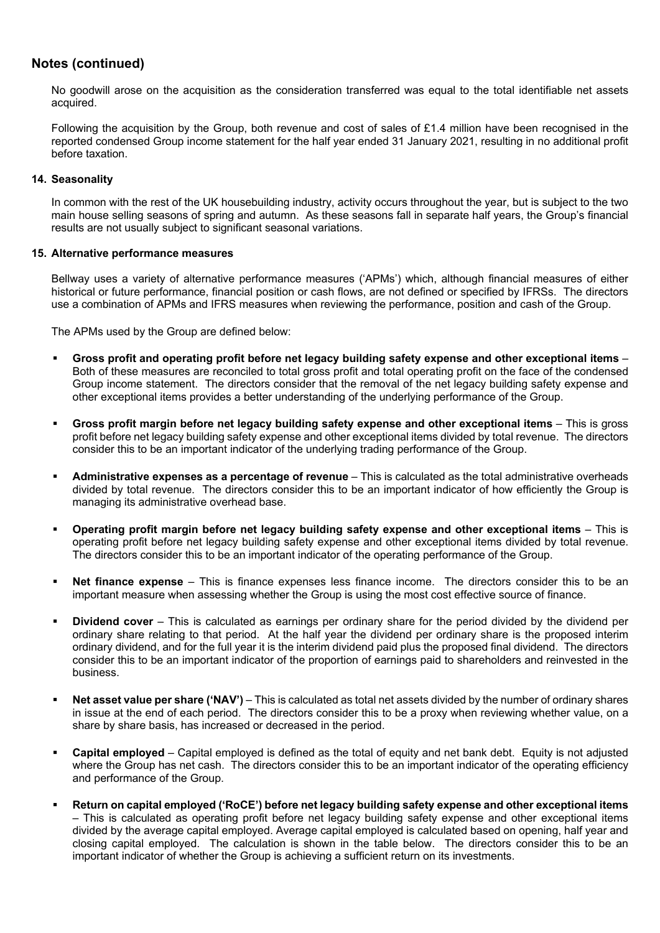No goodwill arose on the acquisition as the consideration transferred was equal to the total identifiable net assets acquired.

Following the acquisition by the Group, both revenue and cost of sales of £1.4 million have been recognised in the reported condensed Group income statement for the half year ended 31 January 2021, resulting in no additional profit before taxation.

## **14. Seasonality**

In common with the rest of the UK housebuilding industry, activity occurs throughout the year, but is subject to the two main house selling seasons of spring and autumn. As these seasons fall in separate half years, the Group's financial results are not usually subject to significant seasonal variations.

### **15. Alternative performance measures**

Bellway uses a variety of alternative performance measures ('APMs') which, although financial measures of either historical or future performance, financial position or cash flows, are not defined or specified by IFRSs. The directors use a combination of APMs and IFRS measures when reviewing the performance, position and cash of the Group.

The APMs used by the Group are defined below:

- **Gross profit and operating profit before net legacy building safety expense and other exceptional items** Both of these measures are reconciled to total gross profit and total operating profit on the face of the condensed Group income statement. The directors consider that the removal of the net legacy building safety expense and other exceptional items provides a better understanding of the underlying performance of the Group.
- Gross profit margin before net legacy building safety expense and other exceptional items This is gross profit before net legacy building safety expense and other exceptional items divided by total revenue. The directors consider this to be an important indicator of the underlying trading performance of the Group.
- **Administrative expenses as a percentage of revenue** This is calculated as the total administrative overheads divided by total revenue. The directors consider this to be an important indicator of how efficiently the Group is managing its administrative overhead base.
- **Operating profit margin before net legacy building safety expense and other exceptional items This is** operating profit before net legacy building safety expense and other exceptional items divided by total revenue. The directors consider this to be an important indicator of the operating performance of the Group.
- **Net finance expense**  This is finance expenses less finance income. The directors consider this to be an important measure when assessing whether the Group is using the most cost effective source of finance.
- **Dividend cover** This is calculated as earnings per ordinary share for the period divided by the dividend per ordinary share relating to that period. At the half year the dividend per ordinary share is the proposed interim ordinary dividend, and for the full year it is the interim dividend paid plus the proposed final dividend. The directors consider this to be an important indicator of the proportion of earnings paid to shareholders and reinvested in the business.
- **Net asset value per share ('NAV')** This is calculated as total net assets divided by the number of ordinary shares in issue at the end of each period. The directors consider this to be a proxy when reviewing whether value, on a share by share basis, has increased or decreased in the period.
- **Capital employed** Capital employed is defined as the total of equity and net bank debt. Equity is not adjusted where the Group has net cash. The directors consider this to be an important indicator of the operating efficiency and performance of the Group.
- **Return on capital employed ('RoCE') before net legacy building safety expense and other exceptional items** – This is calculated as operating profit before net legacy building safety expense and other exceptional items divided by the average capital employed. Average capital employed is calculated based on opening, half year and closing capital employed. The calculation is shown in the table below. The directors consider this to be an important indicator of whether the Group is achieving a sufficient return on its investments.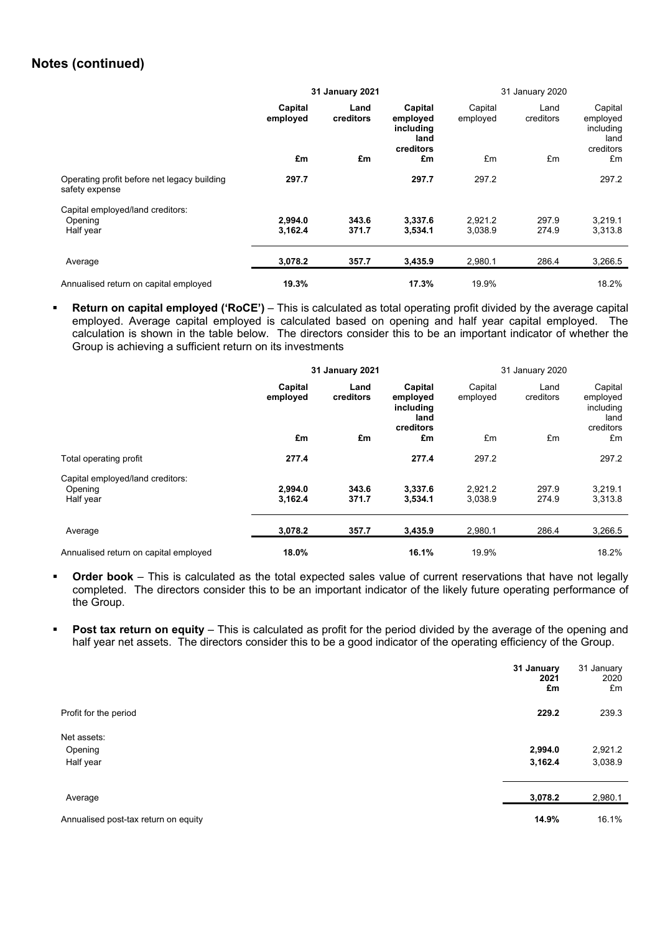|                                                               | 31 January 2021     |                   |                                                       |                     | 31 January 2020   |                                                       |
|---------------------------------------------------------------|---------------------|-------------------|-------------------------------------------------------|---------------------|-------------------|-------------------------------------------------------|
|                                                               | Capital<br>employed | Land<br>creditors | Capital<br>employed<br>including<br>land<br>creditors | Capital<br>employed | Land<br>creditors | Capital<br>employed<br>including<br>land<br>creditors |
|                                                               | £m                  | £m                | £m                                                    | £m                  | £m                | £m                                                    |
| Operating profit before net legacy building<br>safety expense | 297.7               |                   | 297.7                                                 | 297.2               |                   | 297.2                                                 |
| Capital employed/land creditors:                              |                     |                   |                                                       |                     |                   |                                                       |
| Opening                                                       | 2.994.0             | 343.6             | 3,337.6                                               | 2,921.2             | 297.9             | 3,219.1                                               |
| Half year                                                     | 3,162.4             | 371.7             | 3,534.1                                               | 3,038.9             | 274.9             | 3,313.8                                               |
| Average                                                       | 3,078.2             | 357.7             | 3,435.9                                               | 2,980.1             | 286.4             | 3,266.5                                               |
| Annualised return on capital employed                         | 19.3%               |                   | 17.3%                                                 | 19.9%               |                   | 18.2%                                                 |

 **Return on capital employed ('RoCE')** – This is calculated as total operating profit divided by the average capital employed. Average capital employed is calculated based on opening and half year capital employed. The calculation is shown in the table below. The directors consider this to be an important indicator of whether the Group is achieving a sufficient return on its investments

|                                       | <b>31 January 2021</b>                   |       |         |         | 31 January 2020                                       |                                  |  |                                                       |
|---------------------------------------|------------------------------------------|-------|---------|---------|-------------------------------------------------------|----------------------------------|--|-------------------------------------------------------|
|                                       | Capital<br>Land<br>creditors<br>employed |       |         |         | Capital<br>employed<br>including<br>land<br>creditors | Capital<br>creditors<br>employed |  | Capital<br>employed<br>including<br>land<br>creditors |
|                                       | £m                                       | £m    | £m      | £m      | £m                                                    | £m                               |  |                                                       |
| Total operating profit                | 277.4                                    |       | 277.4   | 297.2   |                                                       | 297.2                            |  |                                                       |
| Capital employed/land creditors:      |                                          |       |         |         |                                                       |                                  |  |                                                       |
| Opening                               | 2.994.0                                  | 343.6 | 3,337.6 | 2.921.2 | 297.9                                                 | 3,219.1                          |  |                                                       |
| Half year                             | 3,162.4                                  | 371.7 | 3,534.1 | 3,038.9 | 274.9                                                 | 3,313.8                          |  |                                                       |
| Average                               | 3,078.2                                  | 357.7 | 3,435.9 | 2,980.1 | 286.4                                                 | 3,266.5                          |  |                                                       |
| Annualised return on capital employed | 18.0%                                    |       | 16.1%   | 19.9%   |                                                       | 18.2%                            |  |                                                       |

 **Order book** – This is calculated as the total expected sales value of current reservations that have not legally completed. The directors consider this to be an important indicator of the likely future operating performance of the Group.

**Post tax return on equity** – This is calculated as profit for the period divided by the average of the opening and half year net assets. The directors consider this to be a good indicator of the operating efficiency of the Group.

|                                      | 31 January<br>2021<br>£m | 31 January<br>2020<br>£m |
|--------------------------------------|--------------------------|--------------------------|
| Profit for the period                | 229.2                    | 239.3                    |
| Net assets:                          |                          |                          |
| Opening                              | 2,994.0                  | 2,921.2                  |
| Half year                            | 3,162.4                  | 3,038.9                  |
| Average                              | 3,078.2                  | 2,980.1                  |
| Annualised post-tax return on equity | 14.9%                    | 16.1%                    |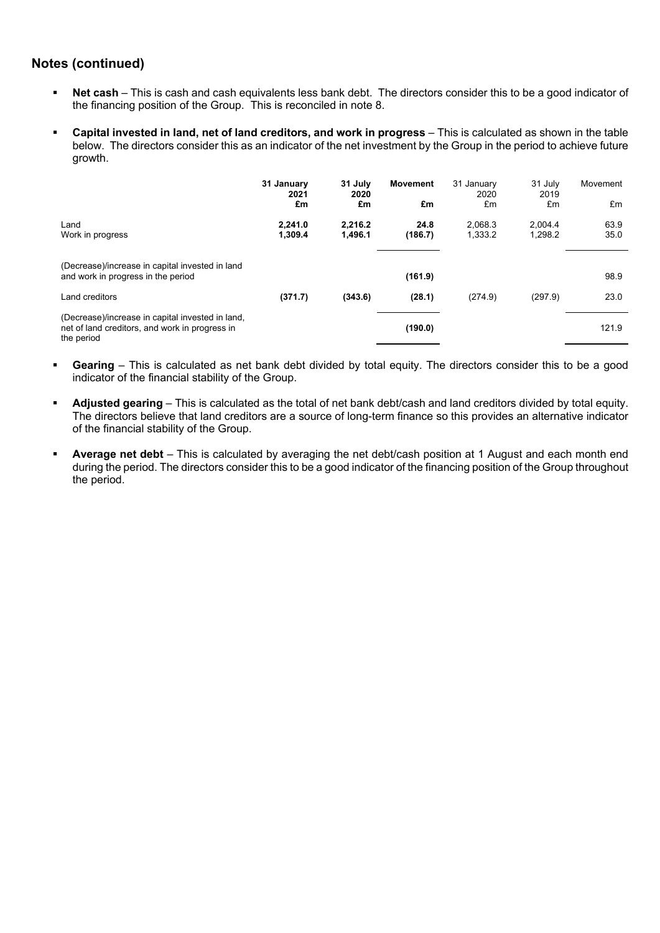- **Net cash** This is cash and cash equivalents less bank debt. The directors consider this to be a good indicator of the financing position of the Group. This is reconciled in note 8.
- **Capital invested in land, net of land creditors, and work in progress** This is calculated as shown in the table below. The directors consider this as an indicator of the net investment by the Group in the period to achieve future growth.

|                                                                                                                  | 31 January<br>2021<br>£m | 31 July<br>2020<br>£m | <b>Movement</b><br>£m | 31 January<br>2020<br>£m | 31 July<br>2019<br>£m | Movement<br>£m |
|------------------------------------------------------------------------------------------------------------------|--------------------------|-----------------------|-----------------------|--------------------------|-----------------------|----------------|
| Land<br>Work in progress                                                                                         | 2.241.0<br>1,309.4       | 2.216.2<br>1,496.1    | 24.8<br>(186.7)       | 2.068.3<br>1,333.2       | 2.004.4<br>1,298.2    | 63.9<br>35.0   |
| (Decrease)/increase in capital invested in land<br>and work in progress in the period                            |                          |                       | (161.9)               |                          |                       | 98.9           |
| Land creditors                                                                                                   | (371.7)                  | (343.6)               | (28.1)                | (274.9)                  | (297.9)               | 23.0           |
| (Decrease)/increase in capital invested in land,<br>net of land creditors, and work in progress in<br>the period |                          |                       | (190.0)               |                          |                       | 121.9          |

- **Gearing**  This is calculated as net bank debt divided by total equity. The directors consider this to be a good indicator of the financial stability of the Group.
- **Adjusted gearing** This is calculated as the total of net bank debt/cash and land creditors divided by total equity. The directors believe that land creditors are a source of long-term finance so this provides an alternative indicator of the financial stability of the Group.
- **Average net debt** This is calculated by averaging the net debt/cash position at 1 August and each month end during the period. The directors consider this to be a good indicator of the financing position of the Group throughout the period.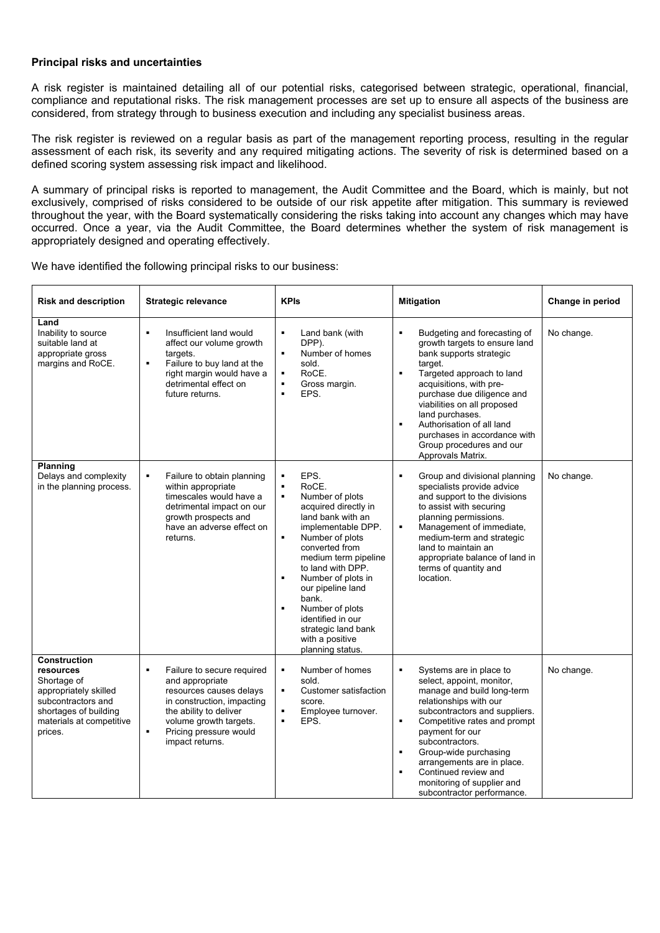#### **Principal risks and uncertainties**

A risk register is maintained detailing all of our potential risks, categorised between strategic, operational, financial, compliance and reputational risks. The risk management processes are set up to ensure all aspects of the business are considered, from strategy through to business execution and including any specialist business areas.

The risk register is reviewed on a regular basis as part of the management reporting process, resulting in the regular assessment of each risk, its severity and any required mitigating actions. The severity of risk is determined based on a defined scoring system assessing risk impact and likelihood.

A summary of principal risks is reported to management, the Audit Committee and the Board, which is mainly, but not exclusively, comprised of risks considered to be outside of our risk appetite after mitigation. This summary is reviewed throughout the year, with the Board systematically considering the risks taking into account any changes which may have occurred. Once a year, via the Audit Committee, the Board determines whether the system of risk management is appropriately designed and operating effectively.

We have identified the following principal risks to our business:

| <b>Risk and description</b>                                                                                                                                    | <b>Strategic relevance</b>                                                                                                                                                                                                                  | <b>KPIs</b>                                                                                                                                                                                                                                                                                                                                                                                                                       | <b>Mitigation</b>                                                                                                                                                                                                                                                                                                                                                                                               | Change in period |
|----------------------------------------------------------------------------------------------------------------------------------------------------------------|---------------------------------------------------------------------------------------------------------------------------------------------------------------------------------------------------------------------------------------------|-----------------------------------------------------------------------------------------------------------------------------------------------------------------------------------------------------------------------------------------------------------------------------------------------------------------------------------------------------------------------------------------------------------------------------------|-----------------------------------------------------------------------------------------------------------------------------------------------------------------------------------------------------------------------------------------------------------------------------------------------------------------------------------------------------------------------------------------------------------------|------------------|
| Land<br>Inability to source<br>suitable land at<br>appropriate gross<br>margins and RoCE.                                                                      | $\blacksquare$<br>Insufficient land would<br>affect our volume growth<br>targets.<br>Failure to buy land at the<br>$\blacksquare$<br>right margin would have a<br>detrimental effect on<br>future returns.                                  | Land bank (with<br>٠<br>DPP).<br>$\blacksquare$<br>Number of homes<br>sold.<br>$\blacksquare$<br>RoCE.<br>$\blacksquare$<br>Gross margin.<br>EPS.<br>$\blacksquare$                                                                                                                                                                                                                                                               | Budgeting and forecasting of<br>$\blacksquare$<br>growth targets to ensure land<br>bank supports strategic<br>target.<br>$\blacksquare$<br>Targeted approach to land<br>acquisitions, with pre-<br>purchase due diligence and<br>viabilities on all proposed<br>land purchases.<br>Authorisation of all land<br>$\blacksquare$<br>purchases in accordance with<br>Group procedures and our<br>Approvals Matrix. | No change.       |
| <b>Planning</b><br>Delays and complexity<br>in the planning process.                                                                                           | $\blacksquare$<br>Failure to obtain planning<br>within appropriate<br>timescales would have a<br>detrimental impact on our<br>growth prospects and<br>have an adverse effect on<br>returns.                                                 | EPS.<br>$\blacksquare$<br>RoCE.<br>٠<br>$\blacksquare$<br>Number of plots<br>acquired directly in<br>land bank with an<br>implementable DPP.<br>$\blacksquare$<br>Number of plots<br>converted from<br>medium term pipeline<br>to land with DPP.<br>Number of plots in<br>$\blacksquare$<br>our pipeline land<br>bank.<br>Number of plots<br>٠<br>identified in our<br>strategic land bank<br>with a positive<br>planning status. | Group and divisional planning<br>$\blacksquare$<br>specialists provide advice<br>and support to the divisions<br>to assist with securing<br>planning permissions.<br>Management of immediate,<br>$\blacksquare$<br>medium-term and strategic<br>land to maintain an<br>appropriate balance of land in<br>terms of quantity and<br>location.                                                                     | No change.       |
| <b>Construction</b><br>resources<br>Shortage of<br>appropriately skilled<br>subcontractors and<br>shortages of building<br>materials at competitive<br>prices. | $\blacksquare$<br>Failure to secure required<br>and appropriate<br>resources causes delays<br>in construction, impacting<br>the ability to deliver<br>volume growth targets.<br>Pricing pressure would<br>$\blacksquare$<br>impact returns. | Number of homes<br>$\blacksquare$<br>sold.<br>Customer satisfaction<br>٠<br>score.<br>Employee turnover.<br>$\blacksquare$<br>$\blacksquare$<br>EPS.                                                                                                                                                                                                                                                                              | Systems are in place to<br>$\blacksquare$<br>select, appoint, monitor,<br>manage and build long-term<br>relationships with our<br>subcontractors and suppliers.<br>Competitive rates and prompt<br>$\blacksquare$<br>payment for our<br>subcontractors.<br>Group-wide purchasing<br>٠<br>arrangements are in place.<br>Continued review and<br>monitoring of supplier and<br>subcontractor performance.         | No change.       |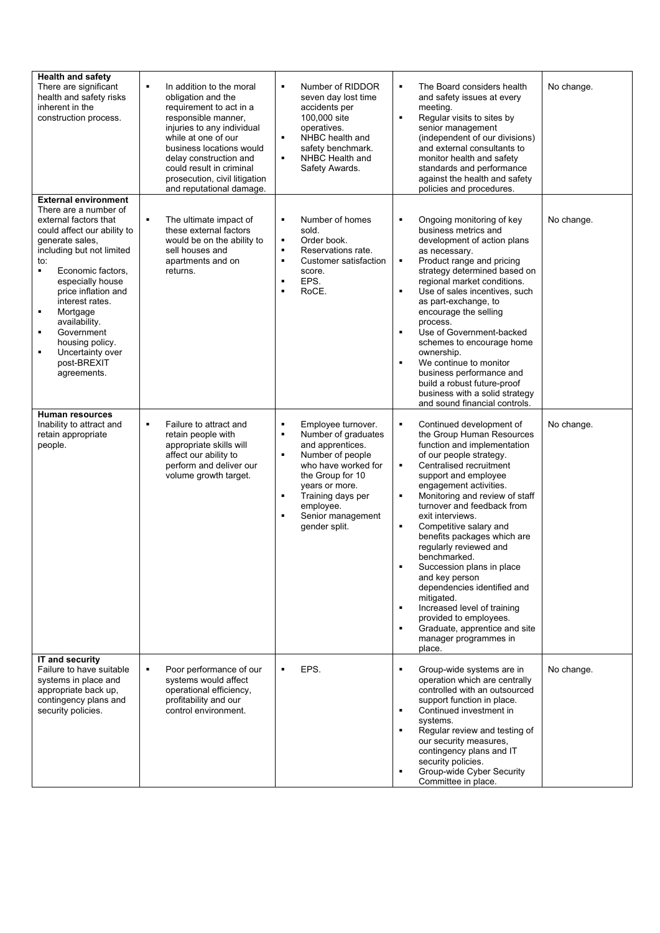| <b>Health and safety</b><br>There are significant<br>health and safety risks<br>inherent in the<br>construction process.                                                                                                                                                                                                                                                                   | In addition to the moral<br>٠<br>obligation and the<br>requirement to act in a<br>responsible manner,<br>injuries to any individual<br>while at one of our<br>business locations would<br>delay construction and<br>could result in criminal<br>prosecution, civil litigation<br>and reputational damage. | Number of RIDDOR<br>$\blacksquare$<br>seven day lost time<br>accidents per<br>100,000 site<br>operatives.<br>NHBC health and<br>٠<br>safety benchmark.<br>NHBC Health and<br>$\blacksquare$<br>Safety Awards.                                                             | The Board considers health<br>٠<br>and safety issues at every<br>meeting.<br>Regular visits to sites by<br>٠<br>senior management<br>(independent of our divisions)<br>and external consultants to<br>monitor health and safety<br>standards and performance<br>against the health and safety<br>policies and procedures.                                                                                                                                                                                                                                                                                                                                            | No change. |
|--------------------------------------------------------------------------------------------------------------------------------------------------------------------------------------------------------------------------------------------------------------------------------------------------------------------------------------------------------------------------------------------|-----------------------------------------------------------------------------------------------------------------------------------------------------------------------------------------------------------------------------------------------------------------------------------------------------------|---------------------------------------------------------------------------------------------------------------------------------------------------------------------------------------------------------------------------------------------------------------------------|----------------------------------------------------------------------------------------------------------------------------------------------------------------------------------------------------------------------------------------------------------------------------------------------------------------------------------------------------------------------------------------------------------------------------------------------------------------------------------------------------------------------------------------------------------------------------------------------------------------------------------------------------------------------|------------|
| <b>External environment</b><br>There are a number of<br>external factors that<br>could affect our ability to<br>generate sales,<br>including but not limited<br>to:<br>Economic factors,<br>٠<br>especially house<br>price inflation and<br>interest rates.<br>Mortgage<br>٠<br>availability.<br>Government<br>٠<br>housing policy.<br>Uncertainty over<br>٠<br>post-BREXIT<br>agreements. | $\blacksquare$<br>The ultimate impact of<br>these external factors<br>would be on the ability to<br>sell houses and<br>apartments and on<br>returns.                                                                                                                                                      | Number of homes<br>$\blacksquare$<br>sold.<br>Order book.<br>٠<br>Reservations rate.<br>$\blacksquare$<br>$\blacksquare$<br>Customer satisfaction<br>score.<br>EPS.<br>$\blacksquare$<br>RoCE.<br>$\blacksquare$                                                          | Ongoing monitoring of key<br>٠<br>business metrics and<br>development of action plans<br>as necessary.<br>Product range and pricing<br>٠<br>strategy determined based on<br>regional market conditions.<br>$\blacksquare$<br>Use of sales incentives, such<br>as part-exchange, to<br>encourage the selling<br>process.<br>$\blacksquare$<br>Use of Government-backed<br>schemes to encourage home<br>ownership.<br>We continue to monitor<br>$\blacksquare$<br>business performance and<br>build a robust future-proof<br>business with a solid strategy<br>and sound financial controls.                                                                           | No change. |
| <b>Human resources</b><br>Inability to attract and<br>retain appropriate<br>people.                                                                                                                                                                                                                                                                                                        | Failure to attract and<br>٠<br>retain people with<br>appropriate skills will<br>affect our ability to<br>perform and deliver our<br>volume growth target.                                                                                                                                                 | Employee turnover.<br>٠<br>Number of graduates<br>٠<br>and apprentices.<br>Number of people<br>$\blacksquare$<br>who have worked for<br>the Group for 10<br>years or more.<br>Training days per<br>$\blacksquare$<br>employee.<br>Senior management<br>٠<br>gender split. | Continued development of<br>٠<br>the Group Human Resources<br>function and implementation<br>of our people strategy.<br>$\blacksquare$<br>Centralised recruitment<br>support and employee<br>engagement activities.<br>Monitoring and review of staff<br>٠<br>turnover and feedback from<br>exit interviews.<br>٠<br>Competitive salary and<br>benefits packages which are<br>regularly reviewed and<br>benchmarked.<br>Succession plans in place<br>and key person<br>dependencies identified and<br>mitigated.<br>Increased level of training<br>$\blacksquare$<br>provided to employees.<br>Graduate, apprentice and site<br>٠<br>manager programmes in<br>place. | No change. |
| IT and security<br>Failure to have suitable<br>systems in place and<br>appropriate back up,<br>contingency plans and<br>security policies.                                                                                                                                                                                                                                                 | Poor performance of our<br>$\blacksquare$<br>systems would affect<br>operational efficiency,<br>profitability and our<br>control environment.                                                                                                                                                             | EPS.<br>٠                                                                                                                                                                                                                                                                 | Group-wide systems are in<br>٠<br>operation which are centrally<br>controlled with an outsourced<br>support function in place.<br>Continued investment in<br>$\blacksquare$<br>systems.<br>Regular review and testing of<br>$\blacksquare$<br>our security measures,<br>contingency plans and IT<br>security policies.<br>Group-wide Cyber Security<br>٠<br>Committee in place.                                                                                                                                                                                                                                                                                      | No change. |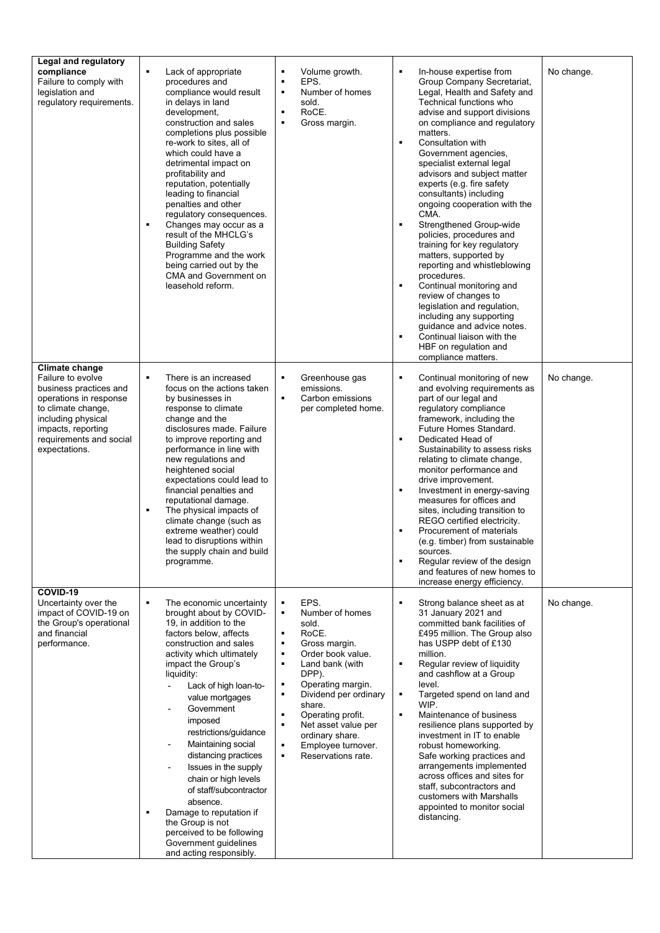| Legal and regulatory<br>compliance<br>Failure to comply with<br>legislation and<br>regulatory requirements.                                                                                           | Lack of appropriate<br>٠<br>procedures and<br>compliance would result<br>in delays in land<br>development,<br>construction and sales<br>completions plus possible<br>re-work to sites, all of<br>which could have a<br>detrimental impact on<br>profitability and<br>reputation, potentially<br>leading to financial<br>penalties and other<br>regulatory consequences.<br>$\blacksquare$<br>Changes may occur as a<br>result of the MHCLG's<br><b>Building Safety</b><br>Programme and the work<br>being carried out by the<br><b>CMA and Government on</b><br>leasehold reform.                             | $\blacksquare$<br>Volume growth.<br>EPS.<br>٠<br>Number of homes<br>$\blacksquare$<br>sold.<br>RoCE.<br>$\blacksquare$<br>Gross margin.<br>$\blacksquare$                                                                                                                                                                                                                                                                                                       | In-house expertise from<br>٠<br>Group Company Secretariat,<br>Legal, Health and Safety and<br>Technical functions who<br>advise and support divisions<br>on compliance and regulatory<br>matters.<br>Consultation with<br>٠<br>Government agencies,<br>specialist external legal<br>advisors and subject matter<br>experts (e.g. fire safety<br>consultants) including<br>ongoing cooperation with the<br>CMA.<br>Strengthened Group-wide<br>٠<br>policies, procedures and<br>training for key regulatory<br>matters, supported by<br>reporting and whistleblowing<br>procedures.<br>Continual monitoring and<br>٠<br>review of changes to<br>legislation and regulation,<br>including any supporting<br>guidance and advice notes.<br>Continual liaison with the<br>HBF on regulation and<br>compliance matters. | No change. |
|-------------------------------------------------------------------------------------------------------------------------------------------------------------------------------------------------------|---------------------------------------------------------------------------------------------------------------------------------------------------------------------------------------------------------------------------------------------------------------------------------------------------------------------------------------------------------------------------------------------------------------------------------------------------------------------------------------------------------------------------------------------------------------------------------------------------------------|-----------------------------------------------------------------------------------------------------------------------------------------------------------------------------------------------------------------------------------------------------------------------------------------------------------------------------------------------------------------------------------------------------------------------------------------------------------------|-------------------------------------------------------------------------------------------------------------------------------------------------------------------------------------------------------------------------------------------------------------------------------------------------------------------------------------------------------------------------------------------------------------------------------------------------------------------------------------------------------------------------------------------------------------------------------------------------------------------------------------------------------------------------------------------------------------------------------------------------------------------------------------------------------------------|------------|
| Climate change<br>Failure to evolve<br>business practices and<br>operations in response<br>to climate change,<br>including physical<br>impacts, reporting<br>requirements and social<br>expectations. | $\blacksquare$<br>There is an increased<br>focus on the actions taken<br>by businesses in<br>response to climate<br>change and the<br>disclosures made. Failure<br>to improve reporting and<br>performance in line with<br>new regulations and<br>heightened social<br>expectations could lead to<br>financial penalties and<br>reputational damage.<br>The physical impacts of<br>$\blacksquare$<br>climate change (such as<br>extreme weather) could<br>lead to disruptions within<br>the supply chain and build<br>programme.                                                                              | $\blacksquare$<br>Greenhouse gas<br>emissions.<br>Carbon emissions<br>٠<br>per completed home.                                                                                                                                                                                                                                                                                                                                                                  | Continual monitoring of new<br>٠<br>and evolving requirements as<br>part of our legal and<br>regulatory compliance<br>framework, including the<br>Future Homes Standard.<br>Dedicated Head of<br>٠<br>Sustainability to assess risks<br>relating to climate change,<br>monitor performance and<br>drive improvement.<br>Investment in energy-saving<br>٠<br>measures for offices and<br>sites, including transition to<br>REGO certified electricity.<br>Procurement of materials<br>(e.g. timber) from sustainable<br>sources.<br>Regular review of the design<br>٠<br>and features of new homes to<br>increase energy efficiency.                                                                                                                                                                               | No change. |
| <b>COVID-19</b><br>Uncertainty over the<br>impact of COVID-19 on<br>the Group's operational<br>and financial<br>performance.                                                                          | The economic uncertainty<br>$\blacksquare$<br>brought about by COVID-<br>19, in addition to the<br>factors below, affects<br>construction and sales<br>activity which ultimately<br>impact the Group's<br>liquidity:<br>Lack of high loan-to-<br>value mortgages<br>Government<br>imposed<br>restrictions/guidance<br>Maintaining social<br>÷<br>distancing practices<br>Issues in the supply<br>chain or high levels<br>of staff/subcontractor<br>absence.<br>Damage to reputation if<br>$\blacksquare$<br>the Group is not<br>perceived to be following<br>Government guidelines<br>and acting responsibly. | EPS.<br>$\blacksquare$<br>Number of homes<br>$\blacksquare$<br>sold.<br>RoCE.<br>$\blacksquare$<br>$\blacksquare$<br>Gross margin.<br>Order book value.<br>٠<br>Land bank (with<br>$\blacksquare$<br>DPP).<br>Operating margin.<br>$\blacksquare$<br>Dividend per ordinary<br>٠<br>share.<br>Operating profit.<br>$\blacksquare$<br>$\blacksquare$<br>Net asset value per<br>ordinary share.<br>Employee turnover.<br>٠<br>$\blacksquare$<br>Reservations rate. | Strong balance sheet as at<br>٠<br>31 January 2021 and<br>committed bank facilities of<br>£495 million. The Group also<br>has USPP debt of £130<br>million.<br>Regular review of liquidity<br>٠<br>and cashflow at a Group<br>level.<br>Targeted spend on land and<br>٠<br>WIP.<br>Maintenance of business<br>٠<br>resilience plans supported by<br>investment in IT to enable<br>robust homeworking.<br>Safe working practices and<br>arrangements implemented<br>across offices and sites for<br>staff, subcontractors and<br>customers with Marshalls<br>appointed to monitor social<br>distancing.                                                                                                                                                                                                            | No change. |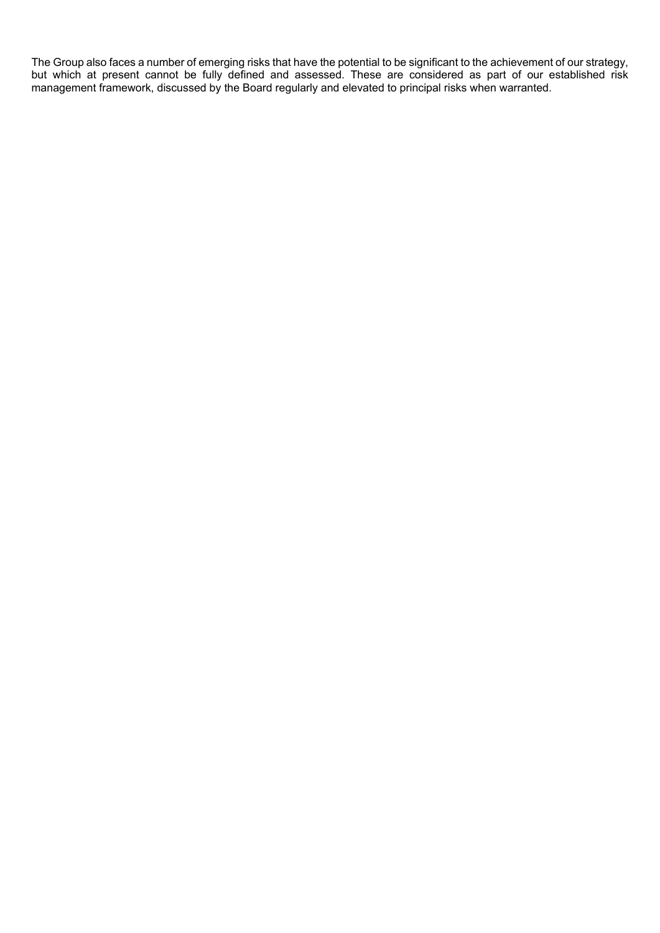The Group also faces a number of emerging risks that have the potential to be significant to the achievement of our strategy, but which at present cannot be fully defined and assessed. These are considered as part of our established risk management framework, discussed by the Board regularly and elevated to principal risks when warranted.